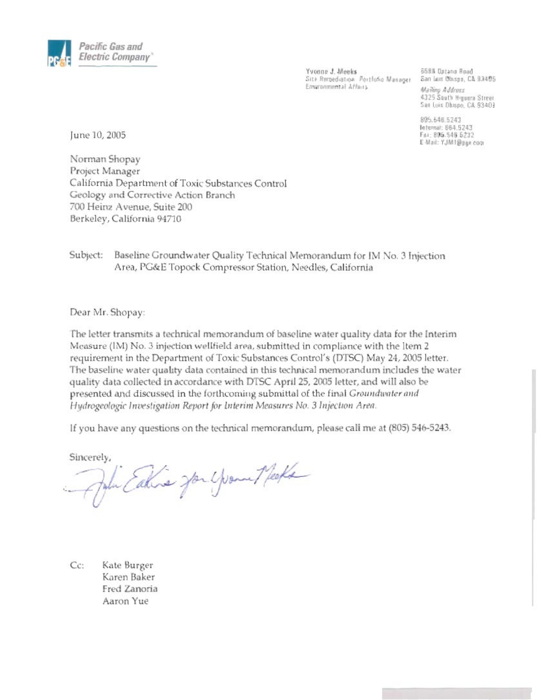

Yvonne J. Meeks<br>Site Remediation: Portfotio Manager - San Luis Obispo, CA 93405 Environmental Affairs

5588 Optano Road Mailing Address 4325 South Higuera Street San Luis Dhispo, CA 93403

895.546.5243 Internal: 664.5243<br>Fax: 805.546.6232 E-Mail: YJM1@pge.com

June 10, 2005

Norman Shopay Project Manager California Department of Toxic Substances Control Geology and Corrective Action Branch 700 Heinz Avenue, Suite 200 Berkeley, California 94710

Subject: Baseline Groundwater Quality Technical Memorandum for IM No. 3 Injection Area, PG&E Topock Compressor Station, Needles, California

Dear Mr. Shopay:

The letter transmits a technical memorandum of baseline water quality data for the Interim Measure (IM) No. 3 injection wellfield area, submitted in compliance with the Item 2 requirement in the Department of Toxic Substances Control's (DTSC) May 24, 2005 letter. The baseline water quality data contained in this technical memorandum includes the water quality data collected in accordance with DTSC April 25, 2005 letter, and will also be presented and discussed in the forthcoming submittal of the final Groundwater and Hydrogeologic Investigation Report for Interim Measures No. 3 Injection Area.

If you have any questions on the technical memorandum, please call me at (805) 546-5243.

Sincerely,

John Eatherne Jon Young Meets

Cc: Kate Burger Karen Baker Fred Zanoria Aaron Yue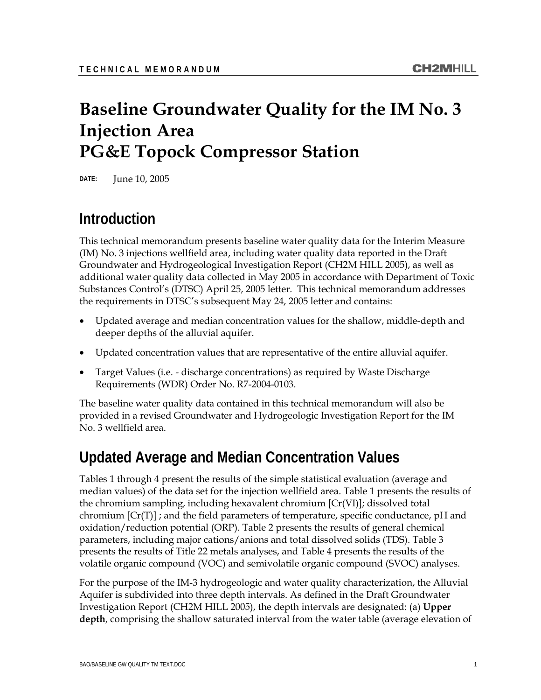# **Baseline Groundwater Quality for the IM No. 3 Injection Area PG&E Topock Compressor Station**

**DATE:** June 10, 2005

# **Introduction**

This technical memorandum presents baseline water quality data for the Interim Measure (IM) No. 3 injections wellfield area, including water quality data reported in the Draft Groundwater and Hydrogeological Investigation Report (CH2M HILL 2005), as well as additional water quality data collected in May 2005 in accordance with Department of Toxic Substances Control's (DTSC) April 25, 2005 letter. This technical memorandum addresses the requirements in DTSC's subsequent May 24, 2005 letter and contains:

- Updated average and median concentration values for the shallow, middle-depth and deeper depths of the alluvial aquifer.
- Updated concentration values that are representative of the entire alluvial aquifer.
- Target Values (i.e. discharge concentrations) as required by Waste Discharge Requirements (WDR) Order No. R7-2004-0103.

The baseline water quality data contained in this technical memorandum will also be provided in a revised Groundwater and Hydrogeologic Investigation Report for the IM No. 3 wellfield area.

# **Updated Average and Median Concentration Values**

Tables 1 through 4 present the results of the simple statistical evaluation (average and median values) of the data set for the injection wellfield area. Table 1 presents the results of the chromium sampling, including hexavalent chromium [Cr(VI)]; dissolved total chromium  $\lceil$ Cr(T)] ; and the field parameters of temperature, specific conductance, pH and oxidation/reduction potential (ORP). Table 2 presents the results of general chemical parameters, including major cations/anions and total dissolved solids (TDS). Table 3 presents the results of Title 22 metals analyses, and Table 4 presents the results of the volatile organic compound (VOC) and semivolatile organic compound (SVOC) analyses.

For the purpose of the IM-3 hydrogeologic and water quality characterization, the Alluvial Aquifer is subdivided into three depth intervals. As defined in the Draft Groundwater Investigation Report (CH2M HILL 2005), the depth intervals are designated: (a) **Upper depth**, comprising the shallow saturated interval from the water table (average elevation of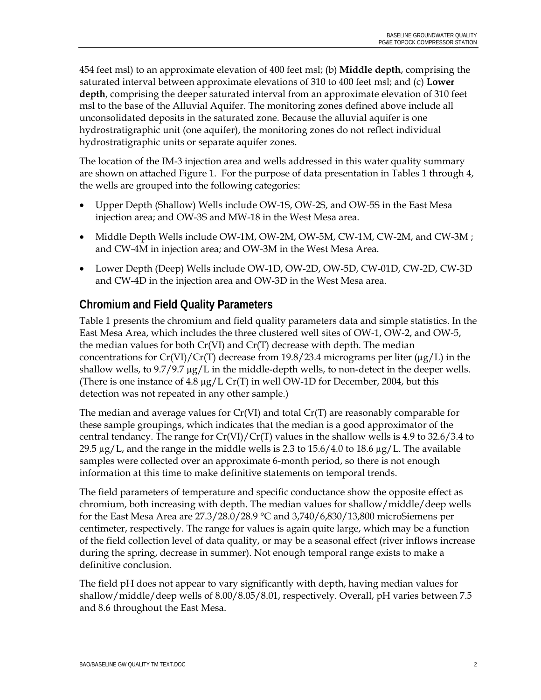454 feet msl) to an approximate elevation of 400 feet msl; (b) **Middle depth**, comprising the saturated interval between approximate elevations of 310 to 400 feet msl; and (c) **Lower depth**, comprising the deeper saturated interval from an approximate elevation of 310 feet msl to the base of the Alluvial Aquifer. The monitoring zones defined above include all unconsolidated deposits in the saturated zone. Because the alluvial aquifer is one hydrostratigraphic unit (one aquifer), the monitoring zones do not reflect individual hydrostratigraphic units or separate aquifer zones.

The location of the IM-3 injection area and wells addressed in this water quality summary are shown on attached Figure 1. For the purpose of data presentation in Tables 1 through 4, the wells are grouped into the following categories:

- Upper Depth (Shallow) Wells include OW-1S, OW-2S, and OW-5S in the East Mesa injection area; and OW-3S and MW-18 in the West Mesa area.
- Middle Depth Wells include OW-1M, OW-2M, OW-5M, CW-1M, CW-2M, and CW-3M; and CW-4M in injection area; and OW-3M in the West Mesa Area.
- Lower Depth (Deep) Wells include OW-1D, OW-2D, OW-5D, CW-01D, CW-2D, CW-3D and CW-4D in the injection area and OW-3D in the West Mesa area.

# **Chromium and Field Quality Parameters**

Table 1 presents the chromium and field quality parameters data and simple statistics. In the East Mesa Area, which includes the three clustered well sites of OW-1, OW-2, and OW-5, the median values for both  $Cr(VI)$  and  $Cr(T)$  decrease with depth. The median concentrations for  $Cr(VI)/Cr(T)$  decrease from 19.8/23.4 micrograms per liter ( $\mu$ g/L) in the shallow wells, to  $9.7/9.7 \mu g/L$  in the middle-depth wells, to non-detect in the deeper wells. (There is one instance of 4.8  $\mu$ g/L Cr(T) in well OW-1D for December, 2004, but this detection was not repeated in any other sample.)

The median and average values for  $Cr(VI)$  and total  $Cr(T)$  are reasonably comparable for these sample groupings, which indicates that the median is a good approximator of the central tendancy. The range for  $Cr(VI)/Cr(T)$  values in the shallow wells is 4.9 to 32.6/3.4 to 29.5  $\mu$ g/L, and the range in the middle wells is 2.3 to 15.6/4.0 to 18.6  $\mu$ g/L. The available samples were collected over an approximate 6-month period, so there is not enough information at this time to make definitive statements on temporal trends.

The field parameters of temperature and specific conductance show the opposite effect as chromium, both increasing with depth. The median values for shallow/middle/deep wells for the East Mesa Area are 27.3/28.0/28.9 °C and 3,740/6,830/13,800 microSiemens per centimeter, respectively. The range for values is again quite large, which may be a function of the field collection level of data quality, or may be a seasonal effect (river inflows increase during the spring, decrease in summer). Not enough temporal range exists to make a definitive conclusion.

The field pH does not appear to vary significantly with depth, having median values for shallow/middle/deep wells of 8.00/8.05/8.01, respectively. Overall, pH varies between 7.5 and 8.6 throughout the East Mesa.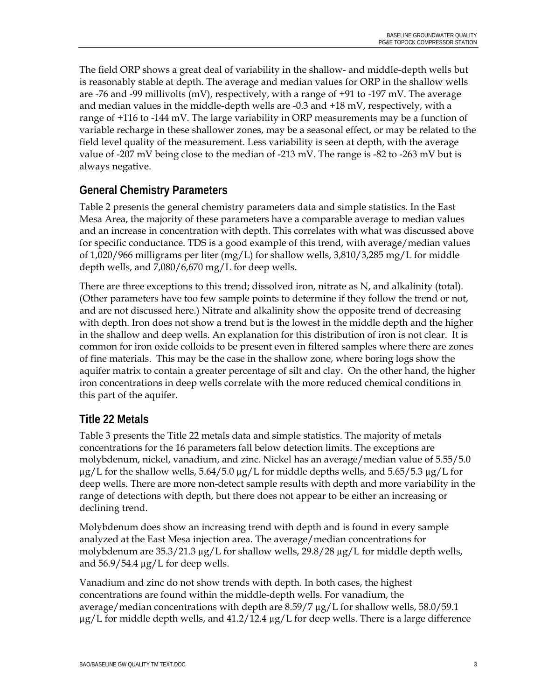The field ORP shows a great deal of variability in the shallow- and middle-depth wells but is reasonably stable at depth. The average and median values for ORP in the shallow wells are -76 and -99 millivolts (mV), respectively, with a range of +91 to -197 mV. The average and median values in the middle-depth wells are -0.3 and +18 mV, respectively, with a range of +116 to -144 mV. The large variability in ORP measurements may be a function of variable recharge in these shallower zones, may be a seasonal effect, or may be related to the field level quality of the measurement. Less variability is seen at depth, with the average value of -207 mV being close to the median of -213 mV. The range is -82 to -263 mV but is always negative.

# **General Chemistry Parameters**

Table 2 presents the general chemistry parameters data and simple statistics. In the East Mesa Area, the majority of these parameters have a comparable average to median values and an increase in concentration with depth. This correlates with what was discussed above for specific conductance. TDS is a good example of this trend, with average/median values of 1,020/966 milligrams per liter (mg/L) for shallow wells, 3,810/3,285 mg/L for middle depth wells, and 7,080/6,670 mg/L for deep wells.

There are three exceptions to this trend; dissolved iron, nitrate as N, and alkalinity (total). (Other parameters have too few sample points to determine if they follow the trend or not, and are not discussed here.) Nitrate and alkalinity show the opposite trend of decreasing with depth. Iron does not show a trend but is the lowest in the middle depth and the higher in the shallow and deep wells. An explanation for this distribution of iron is not clear. It is common for iron oxide colloids to be present even in filtered samples where there are zones of fine materials. This may be the case in the shallow zone, where boring logs show the aquifer matrix to contain a greater percentage of silt and clay. On the other hand, the higher iron concentrations in deep wells correlate with the more reduced chemical conditions in this part of the aquifer.

## **Title 22 Metals**

Table 3 presents the Title 22 metals data and simple statistics. The majority of metals concentrations for the 16 parameters fall below detection limits. The exceptions are molybdenum, nickel, vanadium, and zinc. Nickel has an average/median value of 5.55/5.0  $\mu$ g/L for the shallow wells, 5.64/5.0  $\mu$ g/L for middle depths wells, and 5.65/5.3  $\mu$ g/L for deep wells. There are more non-detect sample results with depth and more variability in the range of detections with depth, but there does not appear to be either an increasing or declining trend.

Molybdenum does show an increasing trend with depth and is found in every sample analyzed at the East Mesa injection area. The average/median concentrations for molybdenum are  $35.3/21.3 \mu g/L$  for shallow wells,  $29.8/28 \mu g/L$  for middle depth wells, and  $56.9/54.4 \mu g/L$  for deep wells.

Vanadium and zinc do not show trends with depth. In both cases, the highest concentrations are found within the middle-depth wells. For vanadium, the average/median concentrations with depth are 8.59/7 µg/L for shallow wells, 58.0/59.1  $\mu$ g/L for middle depth wells, and 41.2/12.4  $\mu$ g/L for deep wells. There is a large difference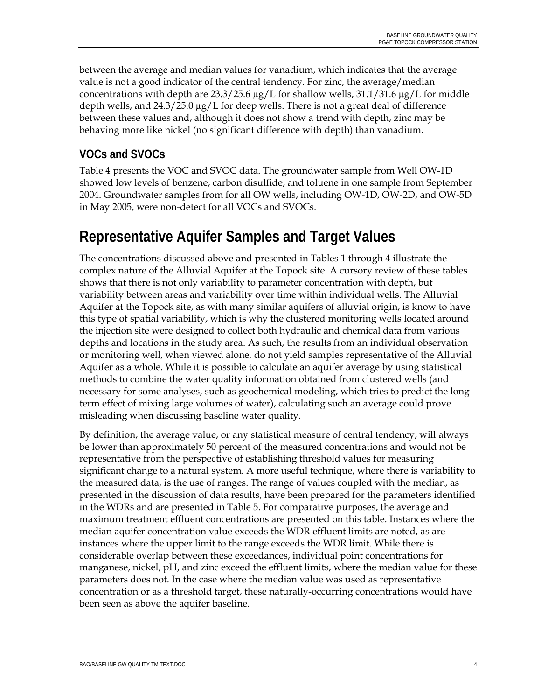between the average and median values for vanadium, which indicates that the average value is not a good indicator of the central tendency. For zinc, the average/median concentrations with depth are  $23.3/25.6 \mu g/L$  for shallow wells,  $31.1/31.6 \mu g/L$  for middle depth wells, and  $24.3/25.0 \mu g/L$  for deep wells. There is not a great deal of difference between these values and, although it does not show a trend with depth, zinc may be behaving more like nickel (no significant difference with depth) than vanadium.

# **VOCs and SVOCs**

Table 4 presents the VOC and SVOC data. The groundwater sample from Well OW-1D showed low levels of benzene, carbon disulfide, and toluene in one sample from September 2004. Groundwater samples from for all OW wells, including OW-1D, OW-2D, and OW-5D in May 2005, were non-detect for all VOCs and SVOCs.

# **Representative Aquifer Samples and Target Values**

The concentrations discussed above and presented in Tables 1 through 4 illustrate the complex nature of the Alluvial Aquifer at the Topock site. A cursory review of these tables shows that there is not only variability to parameter concentration with depth, but variability between areas and variability over time within individual wells. The Alluvial Aquifer at the Topock site, as with many similar aquifers of alluvial origin, is know to have this type of spatial variability, which is why the clustered monitoring wells located around the injection site were designed to collect both hydraulic and chemical data from various depths and locations in the study area. As such, the results from an individual observation or monitoring well, when viewed alone, do not yield samples representative of the Alluvial Aquifer as a whole. While it is possible to calculate an aquifer average by using statistical methods to combine the water quality information obtained from clustered wells (and necessary for some analyses, such as geochemical modeling, which tries to predict the longterm effect of mixing large volumes of water), calculating such an average could prove misleading when discussing baseline water quality.

By definition, the average value, or any statistical measure of central tendency, will always be lower than approximately 50 percent of the measured concentrations and would not be representative from the perspective of establishing threshold values for measuring significant change to a natural system. A more useful technique, where there is variability to the measured data, is the use of ranges. The range of values coupled with the median, as presented in the discussion of data results, have been prepared for the parameters identified in the WDRs and are presented in Table 5. For comparative purposes, the average and maximum treatment effluent concentrations are presented on this table. Instances where the median aquifer concentration value exceeds the WDR effluent limits are noted, as are instances where the upper limit to the range exceeds the WDR limit. While there is considerable overlap between these exceedances, individual point concentrations for manganese, nickel, pH, and zinc exceed the effluent limits, where the median value for these parameters does not. In the case where the median value was used as representative concentration or as a threshold target, these naturally-occurring concentrations would have been seen as above the aquifer baseline.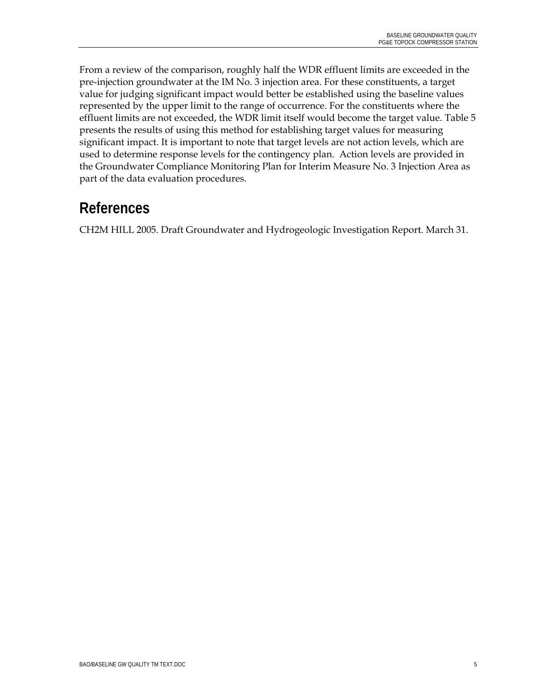From a review of the comparison, roughly half the WDR effluent limits are exceeded in the pre-injection groundwater at the IM No. 3 injection area. For these constituents, a target value for judging significant impact would better be established using the baseline values represented by the upper limit to the range of occurrence. For the constituents where the effluent limits are not exceeded, the WDR limit itself would become the target value. Table 5 presents the results of using this method for establishing target values for measuring significant impact. It is important to note that target levels are not action levels, which are used to determine response levels for the contingency plan. Action levels are provided in the Groundwater Compliance Monitoring Plan for Interim Measure No. 3 Injection Area as part of the data evaluation procedures.

# **References**

CH2M HILL 2005. Draft Groundwater and Hydrogeologic Investigation Report. March 31.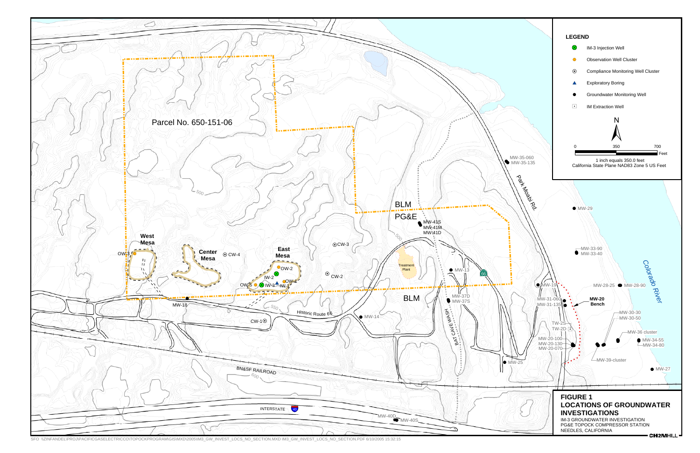

SFO \\ZINFANDEL\PROJ\PACIFICGASELECTRICCO\TOPOCKPROGRAM\GIS\MXD\2005\IM3\_GW\_INVEST\_LOCS\_NO\_SECTION.MXD IM3\_GW\_INVEST\_LOCS\_NO\_SECTION.PDF 6/10/2005 15:32:15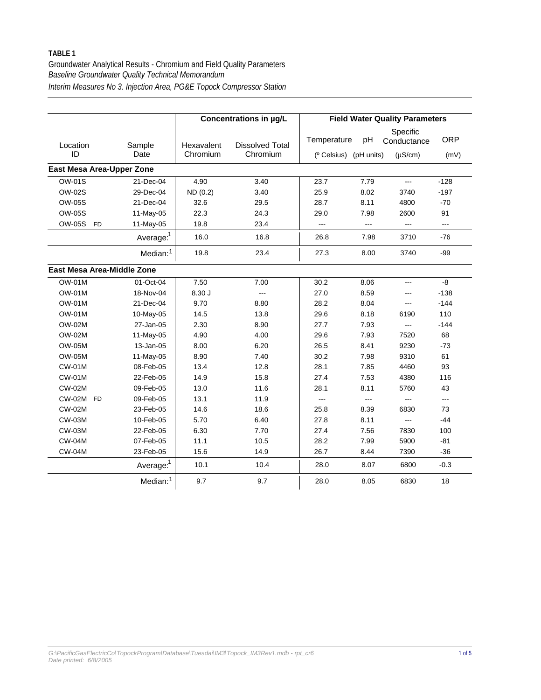|                            |                       |                        | Concentrations in µg/L      |                                                   |      | <b>Field Water Quality Parameters</b>   |                    |
|----------------------------|-----------------------|------------------------|-----------------------------|---------------------------------------------------|------|-----------------------------------------|--------------------|
| Location<br>ID             | Sample<br>Date        | Hexavalent<br>Chromium | Dissolved Total<br>Chromium | Temperature<br>( <sup>o</sup> Celsius) (pH units) | pH   | Specific<br>Conductance<br>$(\mu S/cm)$ | <b>ORP</b><br>(mV) |
| East Mesa Area-Upper Zone  |                       |                        |                             |                                                   |      |                                         |                    |
| <b>OW-01S</b>              | 21-Dec-04             | 4.90                   | 3.40                        | 23.7                                              | 7.79 | $\overline{a}$                          | $-128$             |
| OW-02S                     | 29-Dec-04             | ND(0.2)                | 3.40                        | 25.9                                              | 8.02 | 3740                                    | $-197$             |
| <b>OW-05S</b>              | 21-Dec-04             | 32.6                   | 29.5                        | 28.7                                              | 8.11 | 4800                                    | $-70$              |
| <b>OW-05S</b>              | 11-May-05             | 22.3                   | 24.3                        | 29.0                                              | 7.98 | 2600                                    | 91                 |
| <b>OW-05S</b><br><b>FD</b> | 11-May-05             | 19.8                   | 23.4                        | $\overline{a}$                                    | ---  | $---$                                   | $---$              |
|                            | Average: <sup>1</sup> | 16.0                   | 16.8                        | 26.8                                              | 7.98 | 3710                                    | $-76$              |
|                            | Median: <sup>1</sup>  | 19.8                   | 23.4                        | 27.3                                              | 8.00 | 3740                                    | -99                |
| East Mesa Area-Middle Zone |                       |                        |                             |                                                   |      |                                         |                    |
| <b>OW-01M</b>              | 01-Oct-04             | 7.50                   | 7.00                        | 30.2                                              | 8.06 | ---                                     | -8                 |
| <b>OW-01M</b>              | 18-Nov-04             | 8.30J                  | $\overline{a}$              | 27.0                                              | 8.59 | ---                                     | $-138$             |
| <b>OW-01M</b>              | 21-Dec-04             | 9.70                   | 8.80                        | 28.2                                              | 8.04 | ---                                     | $-144$             |
| <b>OW-01M</b>              | 10-May-05             | 14.5                   | 13.8                        | 29.6                                              | 8.18 | 6190                                    | 110                |
| <b>OW-02M</b>              | 27-Jan-05             | 2.30                   | 8.90                        | 27.7                                              | 7.93 | ---                                     | $-144$             |
| <b>OW-02M</b>              | 11-May-05             | 4.90                   | 4.00                        | 29.6                                              | 7.93 | 7520                                    | 68                 |
| <b>OW-05M</b>              | 13-Jan-05             | 8.00                   | 6.20                        | 26.5                                              | 8.41 | 9230                                    | $-73$              |
| <b>OW-05M</b>              | 11-May-05             | 8.90                   | 7.40                        | 30.2                                              | 7.98 | 9310                                    | 61                 |
| <b>CW-01M</b>              | 08-Feb-05             | 13.4                   | 12.8                        | 28.1                                              | 7.85 | 4460                                    | 93                 |
| <b>CW-01M</b>              | 22-Feb-05             | 14.9                   | 15.8                        | 27.4                                              | 7.53 | 4380                                    | 116                |
| <b>CW-02M</b>              | 09-Feb-05             | 13.0                   | 11.6                        | 28.1                                              | 8.11 | 5760                                    | 43                 |
| <b>CW-02M</b><br><b>FD</b> | 09-Feb-05             | 13.1                   | 11.9                        | $\overline{a}$                                    | ---  | $---$                                   | $---$              |
| <b>CW-02M</b>              | 23-Feb-05             | 14.6                   | 18.6                        | 25.8                                              | 8.39 | 6830                                    | 73                 |
| <b>CW-03M</b>              | 10-Feb-05             | 5.70                   | 6.40                        | 27.8                                              | 8.11 | $---$                                   | $-44$              |
| <b>CW-03M</b>              | 22-Feb-05             | 6.30                   | 7.70                        | 27.4                                              | 7.56 | 7830                                    | 100                |
| <b>CW-04M</b>              | 07-Feb-05             | 11.1                   | 10.5                        | 28.2                                              | 7.99 | 5900                                    | $-81$              |
| <b>CW-04M</b>              | 23-Feb-05             | 15.6                   | 14.9                        | 26.7                                              | 8.44 | 7390                                    | $-36$              |
|                            | Average: <sup>1</sup> | 10.1                   | 10.4                        | 28.0                                              | 8.07 | 6800                                    | $-0.3$             |
|                            | Median: <sup>1</sup>  | 9.7                    | 9.7                         | 28.0                                              | 8.05 | 6830                                    | 18                 |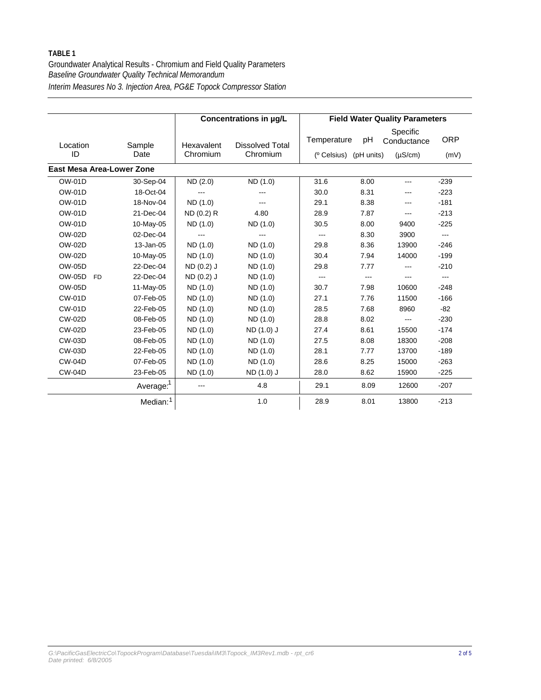|                                  |                       |            | Concentrations in µg/L |                                    |      | <b>Field Water Quality Parameters</b> |                   |
|----------------------------------|-----------------------|------------|------------------------|------------------------------------|------|---------------------------------------|-------------------|
| Location                         | Sample                | Hexavalent | <b>Dissolved Total</b> | Temperature                        | рH   | Specific<br>Conductance               | <b>ORP</b>        |
| ID                               | Date                  | Chromium   | Chromium               | ( <sup>o</sup> Celsius) (pH units) |      | $(\mu S/cm)$                          | (mV)              |
| <b>East Mesa Area-Lower Zone</b> |                       |            |                        |                                    |      |                                       |                   |
| <b>OW-01D</b>                    | 30-Sep-04             | ND(2.0)    | ND (1.0)               | 31.6                               | 8.00 | $---$                                 | $-239$            |
| <b>OW-01D</b>                    | 18-Oct-04             |            |                        | 30.0                               | 8.31 | ---                                   | $-223$            |
| <b>OW-01D</b>                    | 18-Nov-04             | ND (1.0)   |                        | 29.1                               | 8.38 | $---$                                 | $-181$            |
| <b>OW-01D</b>                    | 21-Dec-04             | ND (0.2) R | 4.80                   | 28.9                               | 7.87 | $\cdots$                              | $-213$            |
| <b>OW-01D</b>                    | 10-May-05             | ND (1.0)   | ND (1.0)               | 30.5                               | 8.00 | 9400                                  | $-225$            |
| <b>OW-02D</b>                    | 02-Dec-04             |            | $---$                  | $\qquad \qquad -$                  | 8.30 | 3900                                  | $\cdots$          |
| <b>OW-02D</b>                    | 13-Jan-05             | ND (1.0)   | ND (1.0)               | 29.8                               | 8.36 | 13900                                 | $-246$            |
| <b>OW-02D</b>                    | 10-May-05             | ND (1.0)   | ND (1.0)               | 30.4                               | 7.94 | 14000                                 | $-199$            |
| <b>OW-05D</b>                    | 22-Dec-04             | ND (0.2) J | ND (1.0)               | 29.8                               | 7.77 | ---                                   | $-210$            |
| <b>OW-05D</b><br><b>FD</b>       | 22-Dec-04             | ND (0.2) J | ND (1.0)               | ---                                | ---  | ---                                   | $\qquad \qquad -$ |
| <b>OW-05D</b>                    | 11-May-05             | ND (1.0)   | ND (1.0)               | 30.7                               | 7.98 | 10600                                 | $-248$            |
| <b>CW-01D</b>                    | 07-Feb-05             | ND (1.0)   | ND (1.0)               | 27.1                               | 7.76 | 11500                                 | $-166$            |
| <b>CW-01D</b>                    | 22-Feb-05             | ND (1.0)   | ND (1.0)               | 28.5                               | 7.68 | 8960                                  | $-82$             |
| <b>CW-02D</b>                    | 08-Feb-05             | ND (1.0)   | ND (1.0)               | 28.8                               | 8.02 | $\sim$                                | $-230$            |
| <b>CW-02D</b>                    | 23-Feb-05             | ND (1.0)   | ND (1.0) J             | 27.4                               | 8.61 | 15500                                 | $-174$            |
| <b>CW-03D</b>                    | 08-Feb-05             | ND (1.0)   | ND (1.0)               | 27.5                               | 8.08 | 18300                                 | $-208$            |
| <b>CW-03D</b>                    | 22-Feb-05             | ND (1.0)   | ND (1.0)               | 28.1                               | 7.77 | 13700                                 | $-189$            |
| <b>CW-04D</b>                    | 07-Feb-05             | ND (1.0)   | ND (1.0)               | 28.6                               | 8.25 | 15000                                 | $-263$            |
| <b>CW-04D</b>                    | 23-Feb-05             | ND (1.0)   | ND (1.0) J             | 28.0                               | 8.62 | 15900                                 | $-225$            |
|                                  | Average: <sup>1</sup> | ---        | 4.8                    | 29.1                               | 8.09 | 12600                                 | $-207$            |
|                                  | Median: <sup>1</sup>  |            | 1.0                    | 28.9                               | 8.01 | 13800                                 | $-213$            |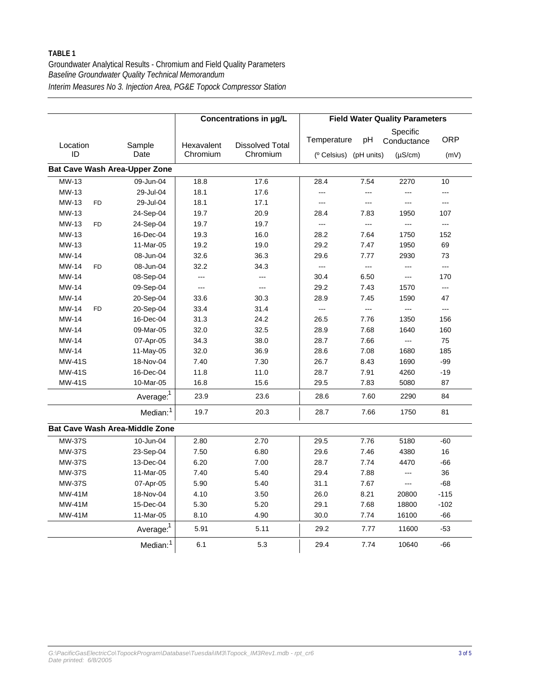|                                      |                                       |            | Concentrations in µg/L |                                    |                | <b>Field Water Quality Parameters</b> |                |
|--------------------------------------|---------------------------------------|------------|------------------------|------------------------------------|----------------|---------------------------------------|----------------|
| Location                             | Sample                                | Hexavalent | <b>Dissolved Total</b> | Temperature                        | pH             | Specific<br>Conductance               | <b>ORP</b>     |
| ID                                   | Date                                  | Chromium   | Chromium               | ( <sup>o</sup> Celsius) (pH units) |                | $(\mu S/cm)$                          | (mV)           |
| <b>Bat Cave Wash Area-Upper Zone</b> |                                       |            |                        |                                    |                |                                       |                |
| MW-13                                | 09-Jun-04                             | 18.8       | 17.6                   | 28.4                               | 7.54           | 2270                                  | 10             |
| MW-13                                | 29-Jul-04                             | 18.1       | 17.6                   | ---                                | $---$          | ---                                   | ---            |
| MW-13<br><b>FD</b>                   | 29-Jul-04                             | 18.1       | 17.1                   | $\overline{a}$                     | $---$          | ---                                   | ---            |
| MW-13                                | 24-Sep-04                             | 19.7       | 20.9                   | 28.4                               | 7.83           | 1950                                  | 107            |
| MW-13<br>F <sub>D</sub>              | 24-Sep-04                             | 19.7       | 19.7                   | $\overline{a}$                     | $\overline{a}$ | $---$                                 | $\overline{a}$ |
| MW-13                                | 16-Dec-04                             | 19.3       | 16.0                   | 28.2                               | 7.64           | 1750                                  | 152            |
| MW-13                                | 11-Mar-05                             | 19.2       | 19.0                   | 29.2                               | 7.47           | 1950                                  | 69             |
| MW-14                                | 08-Jun-04                             | 32.6       | 36.3                   | 29.6                               | 7.77           | 2930                                  | 73             |
| <b>MW-14</b><br><b>FD</b>            | 08-Jun-04                             | 32.2       | 34.3                   | $\overline{a}$                     | ---            | ---                                   | ---            |
| <b>MW-14</b>                         | 08-Sep-04                             | $---$      |                        | 30.4                               | 6.50           | ---                                   | 170            |
| MW-14                                | 09-Sep-04                             | $---$      | $---$                  | 29.2                               | 7.43           | 1570                                  | ---            |
| <b>MW-14</b>                         | 20-Sep-04                             | 33.6       | 30.3                   | 28.9                               | 7.45           | 1590                                  | 47             |
| <b>MW-14</b><br><b>FD</b>            | 20-Sep-04                             | 33.4       | 31.4                   | $\overline{a}$                     |                | $---$                                 | $\overline{a}$ |
| <b>MW-14</b>                         | 16-Dec-04                             | 31.3       | 24.2                   | 26.5                               | 7.76           | 1350                                  | 156            |
| MW-14                                | 09-Mar-05                             | 32.0       | 32.5                   | 28.9                               | 7.68           | 1640                                  | 160            |
| MW-14                                | 07-Apr-05                             | 34.3       | 38.0                   | 28.7                               | 7.66           | $\overline{a}$                        | 75             |
| MW-14                                | 11-May-05                             | 32.0       | 36.9                   | 28.6                               | 7.08           | 1680                                  | 185            |
| <b>MW-41S</b>                        | 18-Nov-04                             | 7.40       | 7.30                   | 26.7                               | 8.43           | 1690                                  | $-99$          |
| <b>MW-41S</b>                        | 16-Dec-04                             | 11.8       | 11.0                   | 28.7                               | 7.91           | 4260                                  | $-19$          |
| <b>MW-41S</b>                        | 10-Mar-05                             | 16.8       | 15.6                   | 29.5                               | 7.83           | 5080                                  | 87             |
|                                      | Average: <sup>1</sup>                 | 23.9       | 23.6                   | 28.6                               | 7.60           | 2290                                  | 84             |
|                                      | Median: <sup>1</sup>                  | 19.7       | 20.3                   | 28.7                               | 7.66           | 1750                                  | 81             |
|                                      | <b>Bat Cave Wash Area-Middle Zone</b> |            |                        |                                    |                |                                       |                |
| <b>MW-37S</b>                        | 10-Jun-04                             | 2.80       | 2.70                   | 29.5                               | 7.76           | 5180                                  | $-60$          |
| <b>MW-37S</b>                        | 23-Sep-04                             | 7.50       | 6.80                   | 29.6                               | 7.46           | 4380                                  | 16             |
| <b>MW-37S</b>                        | 13-Dec-04                             | 6.20       | 7.00                   | 28.7                               | 7.74           | 4470                                  | -66            |
| <b>MW-37S</b>                        | 11-Mar-05                             | 7.40       | 5.40                   | 29.4                               | 7.88           | ---                                   | 36             |
| <b>MW-37S</b>                        | 07-Apr-05                             | 5.90       | 5.40                   | 31.1                               | 7.67           | $---$                                 | $-68$          |
| $MW-41M$                             | 18-Nov-04                             | 4.10       | 3.50                   | 26.0                               | 8.21           | 20800                                 | $-115$         |
| <b>MW-41M</b>                        | 15-Dec-04                             | 5.30       | 5.20                   | 29.1                               | 7.68           | 18800                                 | $-102$         |
| <b>MW-41M</b>                        | 11-Mar-05                             | 8.10       | 4.90                   | 30.0                               | 7.74           | 16100                                 | $-66$          |
|                                      | Average: <sup>1</sup>                 | 5.91       | 5.11                   | 29.2                               | 7.77           | 11600                                 | $-53$          |
|                                      | Median: <sup>1</sup>                  | 6.1        | 5.3                    | 29.4                               | 7.74           | 10640                                 | $-66$          |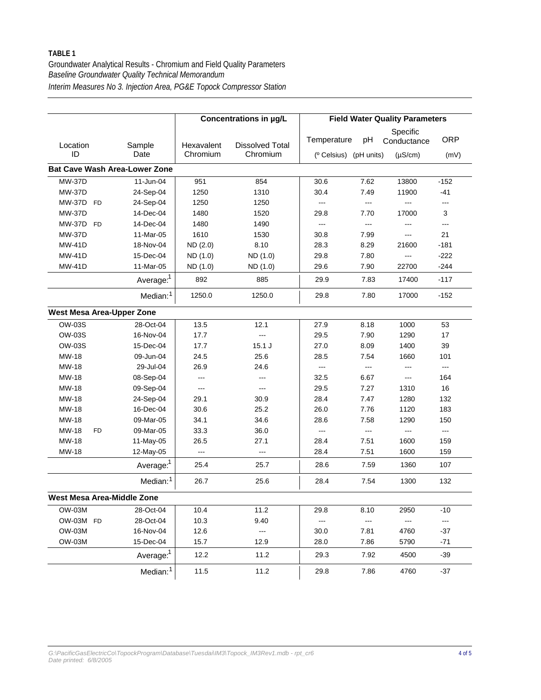|                                  |                                      |            | Concentrations in µg/L |                                    |                | <b>Field Water Quality Parameters</b> |            |
|----------------------------------|--------------------------------------|------------|------------------------|------------------------------------|----------------|---------------------------------------|------------|
| Location                         | Sample                               | Hexavalent | <b>Dissolved Total</b> | Temperature                        | pH             | Specific<br>Conductance               | <b>ORP</b> |
| ID                               | Date                                 | Chromium   | Chromium               | ( <sup>o</sup> Celsius) (pH units) |                | $(\mu S/cm)$                          | (mV)       |
|                                  | <b>Bat Cave Wash Area-Lower Zone</b> |            |                        |                                    |                |                                       |            |
| <b>MW-37D</b>                    | 11-Jun-04                            | 951        | 854                    | 30.6                               | 7.62           | 13800                                 | $-152$     |
| <b>MW-37D</b>                    | 24-Sep-04                            | 1250       | 1310                   | 30.4                               | 7.49           | 11900                                 | $-41$      |
| MW-37D FD                        | 24-Sep-04                            | 1250       | 1250                   | $\overline{a}$                     | ---            | $---$                                 | ---        |
| <b>MW-37D</b>                    | 14-Dec-04                            | 1480       | 1520                   | 29.8                               | 7.70           | 17000                                 | 3          |
| MW-37D FD                        | 14-Dec-04                            | 1480       | 1490                   | $\overline{a}$                     | $\overline{a}$ | $---$                                 | ---        |
| <b>MW-37D</b>                    | 11-Mar-05                            | 1610       | 1530                   | 30.8                               | 7.99           | $---$                                 | 21         |
| <b>MW-41D</b>                    | 18-Nov-04                            | ND (2.0)   | 8.10                   | 28.3                               | 8.29           | 21600                                 | $-181$     |
| <b>MW-41D</b>                    | 15-Dec-04                            | ND (1.0)   | ND (1.0)               | 29.8                               | 7.80           | $---$                                 | $-222$     |
| <b>MW-41D</b>                    | 11-Mar-05                            | ND (1.0)   | ND (1.0)               | 29.6                               | 7.90           | 22700                                 | $-244$     |
|                                  | Average: <sup>1</sup>                | 892        | 885                    | 29.9                               | 7.83           | 17400                                 | $-117$     |
|                                  | Median: <sup>1</sup>                 | 1250.0     | 1250.0                 | 29.8                               | 7.80           | 17000                                 | $-152$     |
| <b>West Mesa Area-Upper Zone</b> |                                      |            |                        |                                    |                |                                       |            |
| OW-03S                           | 28-Oct-04                            | 13.5       | 12.1                   | 27.9                               | 8.18           | 1000                                  | 53         |
| <b>OW-03S</b>                    | 16-Nov-04                            | 17.7       | $---$                  | 29.5                               | 7.90           | 1290                                  | 17         |
| <b>OW-03S</b>                    | 15-Dec-04                            | 17.7       | $15.1$ J               | 27.0                               | 8.09           | 1400                                  | 39         |
| MW-18                            | 09-Jun-04                            | 24.5       | 25.6                   | 28.5                               | 7.54           | 1660                                  | 101        |
| MW-18                            | 29-Jul-04                            | 26.9       | 24.6                   | ---                                | $\overline{a}$ | $---$                                 | ---        |
| MW-18                            | 08-Sep-04                            | $---$      | $\overline{a}$         | 32.5                               | 6.67           | $---$                                 | 164        |
| MW-18                            | 09-Sep-04                            | $---$      | $\overline{a}$         | 29.5                               | 7.27           | 1310                                  | 16         |
| MW-18                            | 24-Sep-04                            | 29.1       | 30.9                   | 28.4                               | 7.47           | 1280                                  | 132        |
| MW-18                            | 16-Dec-04                            | 30.6       | 25.2                   | 26.0                               | 7.76           | 1120                                  | 183        |
| MW-18                            | 09-Mar-05                            | 34.1       | 34.6                   | 28.6                               | 7.58           | 1290                                  | 150        |
| MW-18<br><b>FD</b>               | 09-Mar-05                            | 33.3       | 36.0                   | $\overline{a}$                     | $\overline{a}$ | ---                                   | $---$      |
| MW-18                            | 11-May-05                            | 26.5       | 27.1                   | 28.4                               | 7.51           | 1600                                  | 159        |
| <b>MW-18</b>                     | 12-May-05                            | $---$      | $---$                  | 28.4                               | 7.51           | 1600                                  | 159        |
|                                  | Average: <sup>1</sup>                | 25.4       | 25.7                   | 28.6                               | 7.59           | 1360                                  | 107        |
|                                  | Median: <sup>1</sup>                 | 26.7       | 25.6                   | 28.4                               | 7.54           | 1300                                  | 132        |
| West Mesa Area-Middle Zone       |                                      |            |                        |                                    |                |                                       |            |
| <b>OW-03M</b>                    | 28-Oct-04                            | 10.4       | 11.2                   | 29.8                               | 8.10           | 2950                                  | $-10$      |
| OW-03M FD                        | 28-Oct-04                            | 10.3       | 9.40                   | ---                                | ---            | ---                                   | ---        |
| OW-03M                           | 16-Nov-04                            | 12.6       | $\cdots$               | 30.0                               | 7.81           | 4760                                  | $-37$      |
| OW-03M                           | 15-Dec-04                            | 15.7       | 12.9                   | 28.0                               | 7.86           | 5790                                  | $-71$      |
|                                  | Average: <sup>1</sup>                | 12.2       | 11.2                   | 29.3                               | 7.92           | 4500                                  | -39        |
|                                  | Median: <sup>1</sup>                 | 11.5       | 11.2                   | 29.8                               | 7.86           | 4760                                  | $-37$      |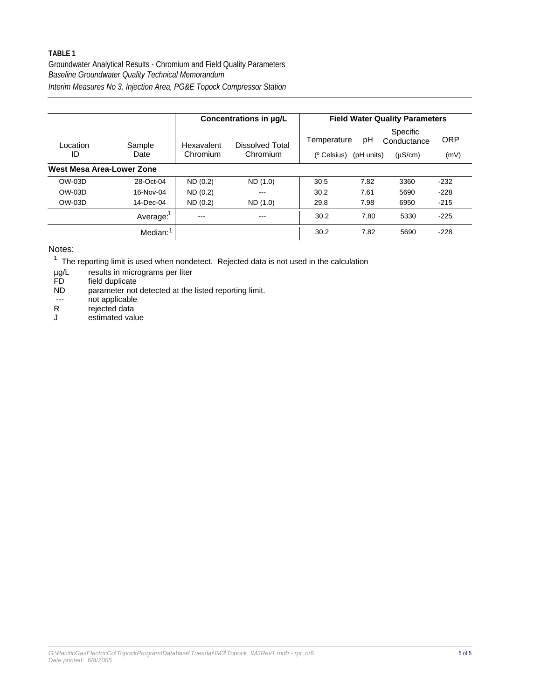Groundwater Analytical Results - Chromium and Field Quality Parameters *Interim Measures No 3. Injection Area, PG&E Topock Compressor Station Baseline Groundwater Quality Technical Memorandum*

|                           |                      |                        | Concentrations in µg/L      |                                        |                  | <b>Field Water Quality Parameters</b>   |                    |
|---------------------------|----------------------|------------------------|-----------------------------|----------------------------------------|------------------|-----------------------------------------|--------------------|
| Location<br>ID            | Sample<br>Date       | Hexavalent<br>Chromium | Dissolved Total<br>Chromium | Temperature<br>( <sup>o</sup> Celsius) | рH<br>(pH units) | Specific<br>Conductance<br>$(\mu S/cm)$ | <b>ORP</b><br>(mV) |
| West Mesa Area-Lower Zone |                      |                        |                             |                                        |                  |                                         |                    |
| OW-03D                    | 28-Oct-04            | ND(0.2)                | ND (1.0)                    | 30.5                                   | 7.82             | 3360                                    | $-232$             |
| OW-03D                    | 16-Nov-04            | ND(0.2)                | $-- -$                      | 30.2                                   | 7.61             | 5690                                    | $-228$             |
| OW-03D                    | 14-Dec-04            | ND(0.2)                | ND (1.0)                    | 29.8                                   | 7.98             | 6950                                    | $-215$             |
|                           | Average:             | ---                    | ---                         | 30.2                                   | 7.80             | 5330                                    | $-225$             |
|                           | Median: <sup>1</sup> |                        |                             | 30.2                                   | 7.82             | 5690                                    | $-228$             |

Notes:

 $1$  The reporting limit is used when nondetect. Rejected data is not used in the calculation

results in micrograms per liter µg/L

field duplicate FD

parameter not detected at the listed reporting limit. ND

not applicable ---

rejected data R

estimated value J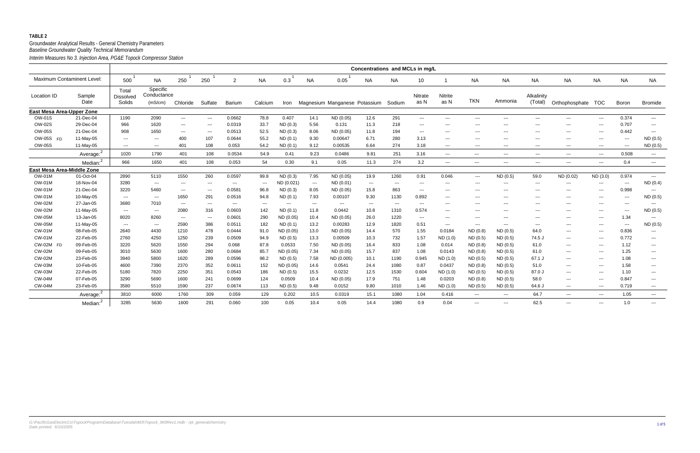|                            |                       |                                     |                                    |                                          |                                                                                                                                                                                                                                                                                                                                                                                              |                      |                      |            |                      |                               | Concentrations and MCLs in mg/L |                      |                                          |                                          |                        |                      |                          |                      |                                          |                                          |                                          |
|----------------------------|-----------------------|-------------------------------------|------------------------------------|------------------------------------------|----------------------------------------------------------------------------------------------------------------------------------------------------------------------------------------------------------------------------------------------------------------------------------------------------------------------------------------------------------------------------------------------|----------------------|----------------------|------------|----------------------|-------------------------------|---------------------------------|----------------------|------------------------------------------|------------------------------------------|------------------------|----------------------|--------------------------|----------------------|------------------------------------------|------------------------------------------|------------------------------------------|
| Maximum Contaminent Level: |                       | 500                                 | NA                                 | 250                                      | 250                                                                                                                                                                                                                                                                                                                                                                                          | $\overline{2}$       | <b>NA</b>            | 0.3        | <b>NA</b>            | 0.05                          | NA                              | NA.                  | 10                                       |                                          | <b>NA</b>              | <b>NA</b>            | <b>NA</b>                | <b>NA</b>            | <b>NA</b>                                | <b>NA</b>                                | <b>NA</b>                                |
| Location ID                | Sample<br>Date        | Total<br><b>Dissolved</b><br>Solids | Specific<br>Conductance<br>(mS/cm) | Chloride                                 | Sulfate                                                                                                                                                                                                                                                                                                                                                                                      | <b>Barium</b>        | Calcium              | Iron       |                      | Magnesium Manganese Potassium |                                 | Sodium               | Nitrate<br>as N                          | Nitrite<br>as N                          | <b>TKN</b>             | Ammonia              | Alkalinity<br>(Total)    | Orthophosphate TOC   |                                          | Boron                                    | <b>Bromide</b>                           |
| East Mesa Area-Upper Zone  |                       |                                     |                                    |                                          |                                                                                                                                                                                                                                                                                                                                                                                              |                      |                      |            |                      |                               |                                 |                      |                                          |                                          |                        |                      |                          |                      |                                          |                                          |                                          |
| OW-01S                     | 21-Dec-04             | 1190                                | 2090                               | $\hspace{0.05cm} \ldots \hspace{0.05cm}$ | $\frac{1}{2} \frac{1}{2} \frac{1}{2} \frac{1}{2} \frac{1}{2} \frac{1}{2} \frac{1}{2} \frac{1}{2} \frac{1}{2} \frac{1}{2} \frac{1}{2} \frac{1}{2} \frac{1}{2} \frac{1}{2} \frac{1}{2} \frac{1}{2} \frac{1}{2} \frac{1}{2} \frac{1}{2} \frac{1}{2} \frac{1}{2} \frac{1}{2} \frac{1}{2} \frac{1}{2} \frac{1}{2} \frac{1}{2} \frac{1}{2} \frac{1}{2} \frac{1}{2} \frac{1}{2} \frac{1}{2} \frac{$ | 0.0662               | 78.8                 | 0.407      | 14.1                 | ND (0.05)                     | 12.6                            | 291                  | $\sim$ $\sim$ $\sim$                     | $\sim$ $\sim$ $\sim$                     | $\sim$                 | $---$                | $---$                    | $---$                | $\qquad \qquad \cdots$                   | 0.374                                    | $\sim$ $\sim$ $\sim$                     |
| <b>OW-02S</b>              | 29-Dec-04             | 966                                 | 1620                               | $\sim$ $\sim$                            | $---$                                                                                                                                                                                                                                                                                                                                                                                        | 0.0319               | 33.7                 | ND(0.3)    | 5.56                 | 0.131                         | 11.3                            | 218                  | $\scriptstyle\cdots$                     | $\sim$ $\sim$                            | $\qquad \qquad \cdots$ | $\cdots$             | $--$                     | ---                  | $\overline{\phantom{a}}$                 | 0.707                                    | $\scriptstyle\cdots$                     |
| <b>OW-05S</b>              | 21-Dec-04             | 908                                 | 1650                               | $\sim$ $\sim$                            | $\scriptstyle\cdots$                                                                                                                                                                                                                                                                                                                                                                         | 0.0513               | 52.5                 | ND (0.3)   | 8.06                 | ND (0.05)                     | 11.8                            | 194                  | $\hspace{0.05cm} \ldots \hspace{0.05cm}$ | $\scriptstyle \cdots$                    | $\cdots$               | $\sim$ $\sim$ $\sim$ | $--$                     | $\cdots$             | $\overline{a}$                           | 0.442                                    | $\sim$ $\sim$ $\sim$                     |
| OW-05S FD                  | 11-May-05             | $\qquad \qquad \cdots$              | $---$                              | 400                                      | 107                                                                                                                                                                                                                                                                                                                                                                                          | 0.0644               | 55.2                 | ND(0.1)    | 9.30                 | 0.00647                       | 6.71                            | 280                  | 3.13                                     | $---$                                    | $--$                   | $\sim$ $\sim$        | $\sim$ $\sim$            | $---$                | ---                                      | $\hspace{0.05cm} \ldots$                 | ND(0.5)                                  |
| <b>OW-05S</b>              | 11-May-05             | $\sim$ $\sim$ $\sim$                | $---$                              | 401                                      | 108                                                                                                                                                                                                                                                                                                                                                                                          | 0.053                | 54.2                 | ND(0.1)    | 9.12                 | 0.00535                       | 6.64                            | 274                  | 3.18                                     | $---$                                    | $--$                   | $  -$                | $---$                    | $\cdots$             | $\overline{a}$                           | $\cdots$                                 | ND (0.5)                                 |
|                            | Average: <sup>2</sup> | 1020                                | 1790                               | 401                                      | 108                                                                                                                                                                                                                                                                                                                                                                                          | 0.0534               | 54.9                 | 0.41       | 9.23                 | 0.0486                        | 9.81                            | 251                  | 3.16                                     | $\cdots$                                 | $\qquad \qquad -$      | $  -$                | $\sim$ $\sim$            | $\cdots$             | $\qquad \qquad - -$                      | 0.508                                    | $\sim$ $\sim$                            |
|                            | Median: <sup>2</sup>  | 966                                 | 1650                               | 401                                      | 108                                                                                                                                                                                                                                                                                                                                                                                          | 0.053                | 54                   | 0.30       | 9.1                  | 0.05                          | 11.3                            | 274                  | 3.2                                      | $\frac{1}{2}$                            | ---                    | $\qquad \qquad - -$  | $---$                    | $\cdots$             | $\overline{\phantom{a}}$                 | 0.4                                      | $\hspace{0.05cm} \ldots \hspace{0.05cm}$ |
| East Mesa Area-Middle Zone |                       |                                     |                                    |                                          |                                                                                                                                                                                                                                                                                                                                                                                              |                      |                      |            |                      |                               |                                 |                      |                                          |                                          |                        |                      |                          |                      |                                          |                                          |                                          |
| <b>OW-01M</b>              | 01-Oct-04             | 2890                                | 5110                               | 1550                                     | 260                                                                                                                                                                                                                                                                                                                                                                                          | 0.0597               | 99.8                 | ND(0.3)    | 7.95                 | ND (0.05)                     | 19.9                            | 1260                 | 0.91                                     | 0.046                                    | $\sim$ $\sim$ $\sim$   | ND(0.5)              | 59.0                     | ND (0.02)            | ND (3.0)                                 | 0.974                                    | $\sim$ $\sim$ $\sim$                     |
| <b>OW-01M</b>              | 18-Nov-04             | 3280                                | $\sim$ $\sim$ $\sim$               | $\sim$ $\sim$                            | $\scriptstyle\cdots$                                                                                                                                                                                                                                                                                                                                                                         | $\sim$ $\sim$ $\sim$ | $\sim$ $\sim$ $\sim$ | ND (0.021) | $\sim$ $\sim$ $\sim$ | ND (0.01)                     | $\sim$                          | $\sim$ $\sim$ $\sim$ | $\hspace{0.05cm} \ldots$                 | $---$                                    | $\cdots$               | $  -$                | $\sim$ $\sim$ $\sim$     | $\cdots$             | $\sim$ $\sim$ $\sim$                     | $\qquad \qquad \cdots$                   | ND(0.4)                                  |
| <b>OW-01M</b>              | 21-Dec-04             | 3220                                | 5460                               | $\sim$ $\sim$                            | $\hspace{0.05cm} \ldots$                                                                                                                                                                                                                                                                                                                                                                     | 0.0581               | 96.8                 | ND(0.3)    | 8.05                 | ND (0.05)                     | 15.8                            | 863                  | $\hspace{0.05cm} \ldots \hspace{0.05cm}$ | $\hspace{0.05cm} \ldots \hspace{0.05cm}$ | $---$                  | $\sim$ $\sim$ $\sim$ | $\hspace{0.05cm} \ldots$ | $\qquad \qquad - -$  | $\hspace{0.05cm} \ldots \hspace{0.05cm}$ | 0.998                                    | $\sim$ $\sim$                            |
| <b>OW-01M</b>              | 10-May-05             | $\qquad \qquad \cdots$              | $\hspace{0.05cm} \ldots$           | 1650                                     | 291                                                                                                                                                                                                                                                                                                                                                                                          | 0.0516               | 94.8                 | ND(0.1)    | 7.93                 | 0.00107                       | 9.30                            | 1130                 | 0.892                                    | $--$                                     | $--$                   | $\sim$ $\sim$        | $--$                     | $\cdots$             | $--$                                     | $\sim$ $\sim$                            | ND (0.5)                                 |
| <b>OW-02M</b>              | 27-Jan-05             | 3680                                | 7010                               | $\sim$ $\sim$                            | $---$                                                                                                                                                                                                                                                                                                                                                                                        | $\sim$ $\sim$        | $\sim$ $\sim$        | $---$      | $\sim$ $\sim$        | $\sim$ $\sim$                 | $\sim$ $\sim$                   | $\sim$ $\sim$        | $--$                                     | $---$                                    | $--$                   | $\sim$ $\sim$        | $--$                     | $---$                | $--$                                     | $\hspace{0.05cm} \ldots \hspace{0.05cm}$ | $\sim$ $\sim$                            |
| <b>OW-02M</b>              | 11-May-05             | $\sim$ $\sim$                       | $\cdots$                           | 2080                                     | 316                                                                                                                                                                                                                                                                                                                                                                                          | 0.0603               | 142                  | ND(0.1)    | 11.8                 | 0.0442                        | 10.8                            | 1310                 | 0.574                                    | $---$                                    | $---$                  | $  -$                | $---$                    | $\cdots$             | $\overline{\phantom{a}}$                 | $\cdots$                                 | ND (0.5)                                 |
| <b>OW-05M</b>              | 13-Jan-05             | 8020                                | 8260                               | $\sim$ $\sim$ $\sim$                     | $\sim$ $\sim$                                                                                                                                                                                                                                                                                                                                                                                | 0.0601               | 290                  | ND (0.05)  | 10.4                 | ND (0.05)                     | 26.0                            | 1220                 | $\sim$ $\sim$ $\sim$                     | $- - -$                                  | $--$                   | $\sim$ $\sim$ $\sim$ | $\sim$ $\sim$            | $---$                | $\sim$ $\sim$ $\sim$                     | 1.34                                     | $\sim$ $\sim$                            |
| <b>OW-05M</b>              | 11-May-05             | $\sim$ $\sim$ $\sim$                | $\hspace{0.05cm} \ldots$           | 2590                                     | 386                                                                                                                                                                                                                                                                                                                                                                                          | 0.0511               | 182                  | ND(0.1)    | 13.2                 | 0.00283                       | 12.9                            | 1820                 | 0.51                                     | $\scriptstyle \cdots$                    | $\cdots$               | $\sim$ $\sim$ $\sim$ | $\sim$ $\sim$            | ---                  | $\overline{a}$                           | $\hspace{0.05cm} \ldots \hspace{0.05cm}$ | ND (0.5)                                 |
| <b>CW-01M</b>              | 08-Feb-05             | 2640                                | 4430                               | 1210                                     | 478                                                                                                                                                                                                                                                                                                                                                                                          | 0.0444               | 91.0                 | ND (0.05)  | 13.0                 | ND (0.05)                     | 14.4                            | 570                  | 1.55                                     | 0.0184                                   | ND (0.8)               | ND(0.5)              | 64.0                     | $\sim$ $\sim$ $\sim$ | $--$                                     | 0.836                                    | $\sim$ $\sim$                            |
| <b>CW-01M</b>              | 22-Feb-05             | 2760                                | 4250                               | 1250                                     | 239                                                                                                                                                                                                                                                                                                                                                                                          | 0.0509               | 94.9                 | ND(0.5)    | 13.3                 | 0.00509                       | 10.3                            | 732                  | 1.57                                     | ND (1.0)                                 | ND(0.5)                | ND(0.5)              | 74.5 J                   | $\qquad \qquad - -$  | $\overline{\phantom{a}}$                 | 0.772                                    | $\hspace{0.05cm} \ldots$                 |
| CW-02M FD                  | 09-Feb-05             | 3220                                | 5620                               | 1550                                     | 294                                                                                                                                                                                                                                                                                                                                                                                          | 0.068                | 87.8                 | 0.0533     | 7.50                 | ND (0.05)                     | 16.4                            | 833                  | 1.08                                     | 0.014                                    | ND(0.8)                | ND(0.5)              | 61.0                     | $\cdots$             | $\qquad \qquad \cdots$                   | 1.12                                     | $\sim$ $\sim$                            |
| <b>CW-02M</b>              | 09-Feb-05             | 3010                                | 5630                               | 1600                                     | 280                                                                                                                                                                                                                                                                                                                                                                                          | 0.0684               | 85.7                 | ND (0.05)  | 7.34                 | ND (0.05)                     | 15.7                            | 837                  | 1.08                                     | 0.0143                                   | ND(0.8)                | ND(0.5)              | 61.0                     | $---$                | $--$                                     | 1.25                                     | $\sim$ $\sim$                            |
| <b>CW-02M</b>              | 23-Feb-05             | 3940                                | 5800                               | 1620                                     | 289                                                                                                                                                                                                                                                                                                                                                                                          | 0.0596               | 98.2                 | ND(0.5)    | 7.58                 | ND (0.005)                    | 10.1                            | 1190                 | 0.945                                    | ND (1.0)                                 | ND(0.5)                | ND(0.5)              | 67.1 J                   | $\cdots$             | $\overline{\phantom{a}}$                 | 1.08                                     | $\hspace{0.05cm} \ldots$                 |
| <b>CW-03M</b>              | 10-Feb-05             | 4600                                | 7390                               | 2370                                     | 352                                                                                                                                                                                                                                                                                                                                                                                          | 0.0611               | 152                  | ND (0.05)  | 14.6                 | 0.0541                        | 24.4                            | 1080                 | 0.87                                     | 0.0437                                   | ND(0.8)                | ND(0.5)              | 51.0                     | $\cdots$             | $\overline{\phantom{a}}$                 | 1.58                                     | $\hspace{0.05cm} \ldots \hspace{0.05cm}$ |
| <b>CW-03M</b>              | 22-Feb-05             | 5180                                | 7820                               | 2250                                     | 351                                                                                                                                                                                                                                                                                                                                                                                          | 0.0543               | 186                  | ND (0.5)   | 15.5                 | 0.0232                        | 12.5                            | 1530                 | 0.604                                    | ND (1.0)                                 | ND(0.5)                | ND(0.5)              | 87.0 J                   | $\cdots$             | $\overline{a}$                           | 1.10                                     | $\sim$ $\sim$                            |
| <b>CW-04M</b>              | 07-Feb-05             | 3290                                | 5690                               | 1600                                     | 241                                                                                                                                                                                                                                                                                                                                                                                          | 0.0699               | 124                  | 0.0509     | 10.4                 | ND (0.05)                     | 17.9                            | 751                  | 1.48                                     | 0.0203                                   | ND(0.8)                | ND(0.5)              | 58.0                     | $\cdots$             | $\sim$ $\sim$ $\sim$                     | 0.847                                    | $\sim$ $\sim$ $\sim$                     |
| <b>CW-04M</b>              | 23-Feb-05             | 3580                                | 5510                               | 1590                                     | 237                                                                                                                                                                                                                                                                                                                                                                                          | 0.0674               | 113                  | ND(0.5)    | 9.48                 | 0.0152                        | 9.80                            | 1010                 | 1.46                                     | ND (1.0)                                 | ND(0.5)                | ND(0.5)              | 64.6 J                   | $\qquad \qquad - -$  | $\hspace{0.05cm} \ldots$                 | 0.719                                    | $\hspace{0.05cm} \ldots \hspace{0.05cm}$ |
|                            | Average:              | 3810                                | 6000                               | 1760                                     | 309                                                                                                                                                                                                                                                                                                                                                                                          | 0.059                | 129                  | 0.202      | 10.5                 | 0.0319                        | 15.1                            | 1080                 | 1.04                                     | 0.416                                    | $\qquad \qquad - -$    | $\cdots$             | 64.7                     | $\cdots$             | $\hspace{0.05cm} \ldots$                 | 1.05                                     | $\hspace{0.05cm} \ldots \hspace{0.05cm}$ |
|                            | Median: <sup>2</sup>  | 3285                                | 5630                               | 1600                                     | 291                                                                                                                                                                                                                                                                                                                                                                                          | 0.060                | 100                  | 0.05       | 10.4                 | 0.05                          | 14.4                            | 1080                 | 0.9                                      | 0.04                                     | ---                    | $\cdots$             | 62.5                     | $\cdots$             | $\overline{\phantom{a}}$                 | 1.0                                      | $\sim$ $\sim$                            |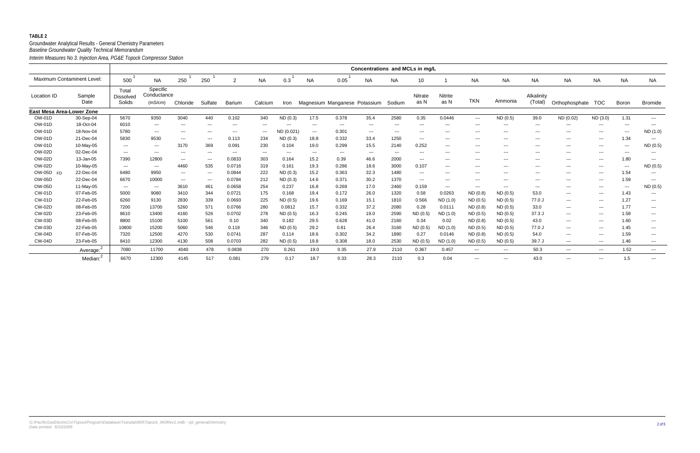|                                   |                      |                                     |                                    |                           |                      |         |                      |               |                          |                               | Concentrations and MCLs in mg/L |                      |                          |                           |                      |                      |                       |                      |                            |                                        |                      |
|-----------------------------------|----------------------|-------------------------------------|------------------------------------|---------------------------|----------------------|---------|----------------------|---------------|--------------------------|-------------------------------|---------------------------------|----------------------|--------------------------|---------------------------|----------------------|----------------------|-----------------------|----------------------|----------------------------|----------------------------------------|----------------------|
| <b>Maximum Contaminent Level:</b> |                      | 500                                 | <b>NA</b>                          | 250                       | 250                  | 2       | <b>NA</b>            | 0.3           | <b>NA</b>                | 0.05                          | <b>NA</b>                       | <b>NA</b>            | 10                       |                           | <b>NA</b>            | <b>NA</b>            | <b>NA</b>             | <b>NA</b>            | <b>NA</b>                  | <b>NA</b>                              | <b>NA</b>            |
| Location ID                       | Sample<br>Date       | Total<br><b>Dissolved</b><br>Solids | Specific<br>Conductance<br>(mS/cm) | Chloride                  | Sulfate              | Barium  | Calcium              | Iron          |                          | Magnesium Manganese Potassium |                                 | Sodium               | Nitrate<br>as N          | Nitrite<br>as N           | <b>TKN</b>           | Ammonia              | Alkalinity<br>(Total) | Orthophosphate       | <b>TOC</b>                 | Boron                                  | <b>Bromide</b>       |
| <b>East Mesa Area-Lower Zone</b>  |                      |                                     |                                    |                           |                      |         |                      |               |                          |                               |                                 |                      |                          |                           |                      |                      |                       |                      |                            |                                        |                      |
| OW-01D                            | 30-Sep-04            | 5670                                | 9350                               | 3040                      | 440                  | 0.102   | 340                  | ND(0.3)       | 17.5                     | 0.378                         | 35.4                            | 2580                 | 0.35                     | 0.0446                    | $\sim$ $\sim$ $\sim$ | ND(0.5)              | 39.0                  | ND (0.02)            | ND (3.0)                   | 1.31                                   | $\sim$ $\sim$        |
| <b>OW-01D</b>                     | 18-Oct-04            | 6010                                | $\cdots$                           | $\qquad \qquad -\qquad -$ | ---                  | $--$    | $\qquad \qquad -$    | ---           | ---                      | $\qquad \qquad - -$           | $\sim$ $\sim$                   | $\sim$ $\sim$ $\sim$ | $\qquad \qquad - -$      | $\qquad \qquad -\qquad -$ | $\qquad \qquad -$    | $\cdots$             | $\sim$ $\sim$ $\sim$  | $---$                | $\qquad \qquad - \qquad -$ | $\hspace{0.05cm} \ldots$               | $\sim$ $\sim$        |
| <b>OW-01D</b>                     | 18-Nov-04            | 5780                                | $\qquad \qquad -$                  | $---$                     | $--$                 | $--$    | $\sim$ $\sim$ $\sim$ | ND (0.021)    | $\sim$ $\sim$ $\sim$     | 0.301                         | $\sim$ $\sim$                   | $\sim$ $\sim$        | $\qquad \qquad - -$      | $--$                      | $\qquad \qquad -$    | $\qquad \qquad -$    | $--$                  | $---$                | $\qquad \qquad - \qquad -$ | $\hspace{0.05cm} \ldots$               | ND (1.0)             |
| <b>OW-01D</b>                     | 21-Dec-04            | 5830                                | 9530                               | $\sim$ $\sim$             | $\sim$ $\sim$        | 0.113   | 234                  | ND(0.3)       | 18.8                     | 0.332                         | 33.4                            | 1250                 | $\qquad \qquad - -$      | $---$                     | $\qquad \qquad -$    | $-$ – $-$            | $--$                  | $\sim$ $\sim$ $\sim$ | $\qquad \qquad - \qquad -$ | 1.34                                   | $\sim$ $\sim$        |
| <b>OW-01D</b>                     | 10-May-05            | $- - -$                             | $\qquad \qquad \cdots$             | 3170                      | 369                  | 0.091   | 230                  | 0.104         | 19.0                     | 0.299                         | 15.5                            | 2140                 | 0.252                    | $\sim$ $\sim$ $\sim$      | $\sim$ $\sim$        | $\sim$ $\sim$        | $\sim$ $\sim$ $\sim$  | $\sim$ $\sim$ $\sim$ | $\qquad \qquad - \qquad -$ | $\scriptstyle\cdots\scriptstyle\cdots$ | ND (0.5)             |
| <b>OW-02D</b>                     | 02-Dec-04            | $\sim$ $\sim$ $\sim$                | $\cdots$                           | $\sim$ $\sim$             | $\sim$ $\sim$        | $- - -$ | $\sim$ $\sim$        | $\sim$ $\sim$ | $\hspace{0.05cm} \ldots$ | $\cdots$                      | $\sim$ $\sim$                   | $\sim$ $\sim$        | $\sim$ $\sim$ $\sim$     | $\sim$ $\sim$ $\sim$      | $\sim$ $\sim$        | $\sim$ $\sim$        | $\sim$ $\sim$ $\sim$  | $\sim$ $\sim$ $\sim$ | $  -$                      | $\cdots$                               | $\sim$ $\sim$        |
| <b>OW-02D</b>                     | 13-Jan-05            | 7390                                | 12800                              | $\sim$ $\sim$ $\sim$      | $\sim$ $\sim$ $\sim$ | 0.0833  | 303                  | 0.164         | 15.2                     | 0.39                          | 46.6                            | 2000                 | $\sim$ $\sim$ $\sim$     | $\sim$ $\sim$ $\sim$      | $\qquad \qquad -$    | $\qquad \qquad -$    | $\sim$ $\sim$         | $\cdots$             | $\hspace{0.05cm} \ldots$   | 1.80                                   | $  -$                |
| <b>OW-02D</b>                     | 10-May-05            | $\sim$ $\sim$ $\sim$                | $\qquad \qquad \cdots$             | 4460                      | 535                  | 0.0716  | 319                  | 0.161         | 19.3                     | 0.286                         | 18.6                            | 3000                 | 0.107                    | $\sim$ $\sim$ $\sim$      | $\qquad \qquad -$    | $\qquad \qquad -$    | $\sim$ $\sim$ $\sim$  | $\sim$ $\sim$ $\sim$ | $\qquad \qquad - \qquad -$ | $\hspace{0.05cm} \ldots$               | ND (0.5)             |
| OW-05D FD                         | 22-Dec-04            | 6480                                | 9950                               | $---$                     | $\sim$ $\sim$        | 0.0844  | 222                  | ND(0.3)       | 15.2                     | 0.363                         | 32.3                            | 1480                 | $\qquad \qquad - -$      | $\sim$ $\sim$ $\sim$      | $\sim$ $\sim$        | $\sim$ $\sim$        | $\sim$ $\sim$         | $\sim$ $\sim$ $\sim$ | $  -$                      | 1.54                                   | $\sim$ $\sim$        |
| <b>OW-05D</b>                     | 22-Dec-04            | 6670                                | 10000                              | $\sim$ $\sim$             | $\sim$ $\sim$        | 0.0784  | 212                  | ND(0.3)       | 14.6                     | 0.371                         | 30.2                            | 1370                 | $\hspace{0.05cm} \ldots$ | $\sim$ $\sim$ $\sim$      | $\sim$ $\sim$        | $\sim$ $\sim$        | $\sim$ $\sim$         | $--$                 | $\sim$ $\sim$              | 1.59                                   | $\sim$ $\sim$        |
| <b>OW-05D</b>                     | 11-May-05            | $\sim$ $\sim$ $\sim$                | $\qquad \qquad \cdots$             | 3610                      | 461                  | 0.0658  | 254                  | 0.237         | 16.8                     | 0.269                         | 17.0                            | 2460                 | 0.159                    | $\hspace{0.05cm} \ldots$  | $\qquad \qquad -$    | $\qquad \qquad -$    | $--$                  | ---                  | $\qquad \qquad - \qquad -$ | $\hspace{0.05cm} \ldots$               | ND (0.5)             |
| <b>CW-01D</b>                     | 07-Feb-05            | 5000                                | 9080                               | 3410                      | 344                  | 0.0721  | 175                  | 0.168         | 19.4                     | 0.172                         | 26.0                            | 1320                 | 0.58                     | 0.0263                    | ND (0.8)             | ND(0.5)              | 53.0                  | $\sim$ $\sim$ $\sim$ | $\hspace{0.05cm} \ldots$   | 1.43                                   | $\sim$ $\sim$        |
| <b>CW-01D</b>                     | 22-Feb-05            | 6260                                | 9130                               | 2830                      | 339                  | 0.0693  | 225                  | ND (0.5)      | 19.6                     | 0.169                         | 15.1                            | 1810                 | 0.566                    | ND(1.0)                   | ND(0.5)              | ND(0.5)              | 77.0 J                | $\sim$ $\sim$ $\sim$ | $  -$                      | 1.27                                   | $\sim$ $\sim$        |
| <b>CW-02D</b>                     | 08-Feb-05            | 7200                                | 13700                              | 5260                      | 571                  | 0.0766  | 280                  | 0.0812        | 15.7                     | 0.332                         | 37.2                            | 2080                 | 0.28                     | 0.0111                    | ND(0.8)              | ND(0.5)              | 33.0                  | $\sim$ $\sim$ $\sim$ | $\hspace{0.05cm} \ldots$   | 1.77                                   | $\sim$ $\sim$        |
| <b>CW-02D</b>                     | 23-Feb-05            | 8610                                | 13400                              | 4160                      | 526                  | 0.0702  | 278                  | ND(0.5)       | 16.3                     | 0.245                         | 19.0                            | 2590                 | ND (0.5                  | ND (1.0)                  | ND(0.5)              | ND(0.5)              | 37.3 J                | $\cdots$             | $  -$                      | 1.58                                   | $\sim$ $\sim$        |
| <b>CW-03D</b>                     | 08-Feb-05            | 8800                                | 15100                              | 5100                      | 561                  | 0.10    | 340                  | 0.182         | 29.5                     | 0.628                         | 41.0                            | 2160                 | 0.34                     | 0.02                      | ND(0.8)              | ND(0.5)              | 43.0                  | ---                  | $\qquad \qquad - \qquad -$ | 1.60                                   | $\sim$ $\sim$        |
| <b>CW-03D</b>                     | 22-Feb-05            | 10800                               | 15200                              | 5060                      | 546                  | 0.119   | 346                  | ND(0.5)       | 29.2                     | 0.81                          | 26.4                            | 3160                 | ND (0.5                  | ND (1.0)                  | ND(0.5)              | ND(0.5)              | 77.0 J                | $\sim$ $\sim$ $\sim$ | $\sim$ $\sim$              | 1.45                                   | $\sim$ $\sim$        |
| <b>CW-04D</b>                     | 07-Feb-05            | 7320                                | 12500                              | 4270                      | 530                  | 0.0741  | 287                  | 0.114         | 18.6                     | 0.302                         | 34.2                            | 1890                 | 0.27                     | 0.0146                    | ND(0.8)              | ND(0.5)              | 54.0                  | $\sim$ $\sim$ $\sim$ | $\hspace{0.05cm} \ldots$   | 1.59                                   | $\cdots$             |
| <b>CW-04D</b>                     | 23-Feb-05            | 8410                                | 12300                              | 4130                      | 508                  | 0.0703  | 282                  | ND (0.5)      | 19.8                     | 0.308                         | 18.0                            | 2530                 | ND(0.5)                  | ND(1.0)                   | ND(0.5)              | ND (0.5)             | 39.7 J                | $\cdots$             | $\sim$ $\sim$ $\sim$       | 1.46                                   | $\sim$ $\sim$        |
|                                   | Average:             | 7080                                | 11700                              | 4040                      | 478                  | 0.0838  | 270                  | 0.261         | 19.0                     | 0.35                          | 27.9                            | 2110                 | 0.367                    | 0.457                     | $\cdots$             | $\sim$ $\sim$ $\sim$ | 50.3                  | $\cdots$             | $\cdots$                   | 1.52                                   | $\sim$ $\sim$ $\sim$ |
|                                   | Median: <sup>2</sup> | 6670                                | 12300                              | 4145                      | 517                  | 0.081   | 279                  | 0.17          | 18.7                     | 0.33                          | 28.3                            | 2110                 | 0.3                      | 0.04                      | $\cdots$             | $\sim$ $\sim$ $\sim$ | 43.0                  | $\cdots$             | $\hspace{0.05cm} \ldots$   | 1.5                                    | $\sim$ $\sim$        |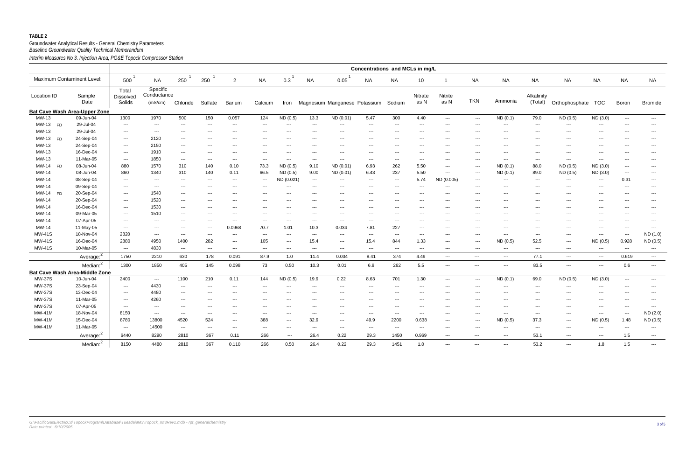|                            |                                       |                              |                                          |                                          |                          |                                        |                          |                          |                           |                                        | Concentrations and MCLs in mg/L          |                          |                        |                                        |                                        |                                        |                          |                       |                          |                                          |                          |
|----------------------------|---------------------------------------|------------------------------|------------------------------------------|------------------------------------------|--------------------------|----------------------------------------|--------------------------|--------------------------|---------------------------|----------------------------------------|------------------------------------------|--------------------------|------------------------|----------------------------------------|----------------------------------------|----------------------------------------|--------------------------|-----------------------|--------------------------|------------------------------------------|--------------------------|
| Maximum Contaminent Level: |                                       | 500                          | <b>NA</b>                                | 250                                      | 250                      | $\overline{2}$                         | <b>NA</b>                | 0.3                      | <b>NA</b>                 | 0.05                                   | <b>NA</b>                                | <b>NA</b>                | 10                     | -1                                     | <b>NA</b>                              | <b>NA</b>                              | <b>NA</b>                | <b>NA</b>             | <b>NA</b>                | <b>NA</b>                                | <b>NA</b>                |
| Location ID                | Sample<br>Date                        | Total<br>Dissolved<br>Solids | Specific<br>Conductance<br>(mS/cm)       | Chloride                                 | Sulfate                  | <b>Barium</b>                          | Calcium                  | Iron                     |                           | Magnesium Manganese Potassium Sodium   |                                          |                          | Nitrate<br>as N        | Nitrite<br>as N                        | <b>TKN</b>                             | Ammonia                                | Alkalinity<br>(Total)    | Orthophosphate TOC    |                          | Boron                                    | <b>Bromide</b>           |
|                            | <b>Bat Cave Wash Area-Upper Zone</b>  |                              |                                          |                                          |                          |                                        |                          |                          |                           |                                        |                                          |                          |                        |                                        |                                        |                                        |                          |                       |                          |                                          |                          |
| MW-13                      | 09-Jun-04                             | 1300                         | 1970                                     | 500                                      | 150                      | 0.057                                  | 124                      | ND(0.5)                  | 13.3                      | ND (0.01)                              | 5.47                                     | 300                      | 4.40                   | $\scriptstyle\cdots\scriptstyle\cdots$ | $\scriptstyle\cdots$                   | ND(0.1)                                | 79.0                     | ND(0.5)               | ND (3.0)                 | $\scriptstyle\cdots$                     | $\cdots$                 |
| MW-13 FD                   | 29-Jul-04                             | $\scriptstyle\cdots$         | $\scriptstyle\mathtt{---}$               | $\scriptstyle\cdots$                     | $\scriptstyle\cdots$     | $\scriptstyle\cdots$                   | $---$                    | $\hspace{0.05cm} \ldots$ | $\overline{\phantom{a}}$  | $\scriptstyle\cdots\scriptstyle\cdots$ | $\scriptstyle\cdots\scriptstyle\cdots$   | $\sim$ $\sim$ $\sim$     | $--$                   | $\overline{\phantom{a}}$               | $\overline{\phantom{a}}$               | $\scriptstyle\cdots\scriptstyle\cdots$ | $\scriptstyle\cdots$     | $\scriptstyle\cdots$  | ---                      | $\scriptstyle\cdots$                     | $\hspace{0.05cm} \ldots$ |
| MW-13                      | 29-Jul-04                             | $\frac{1}{2}$                | $\hspace{0.05cm} \ldots$                 | $\qquad \qquad -$                        | $\overline{\phantom{a}}$ | $---$                                  |                          | $\overline{\phantom{a}}$ | $\overline{\phantom{a}}$  | ---                                    | $---$                                    | $---$                    | $--$                   | $\overline{\phantom{a}}$               | $\sim$                                 | $\qquad \qquad -$                      | $---$                    | $\qquad \qquad -$     | ---                      | $--$                                     | $---$                    |
| MW-13 FD                   | 24-Sep-04                             | $\qquad \qquad \cdots$       | 2120                                     | $\sim$ $\sim$                            | $---$                    | $\cdots$                               | $\qquad \qquad -\qquad$  | $---$                    | $\qquad \qquad -$         | $\scriptstyle \cdots$                  | $\scriptstyle \cdots$                    | $\sim$ $\sim$ $\sim$     | $\sim$ $\sim$ $\sim$   | $---$                                  | $\cdots$                               | $\sim$ $\sim$                          | $\sim$ $\sim$            | $\qquad \qquad -$     | ---                      | $---$                                    | $\sim$ $\sim$            |
| MW-13                      | 24-Sep-04                             | $\sim$ $\sim$ $\sim$         | 2150                                     | $\cdots$                                 | $---$                    | $\cdots$                               | ---                      | $\overline{\phantom{a}}$ | $--$                      | $\sim$ $\sim$ $\sim$                   | $\hspace{0.05cm} \ldots \hspace{0.05cm}$ | $\sim$ $\sim$ $\sim$     | $---$                  | $--$                                   | $---$                                  | $\sim$ $\sim$                          | $--$                     | $\cdots$              | ---                      | $---$                                    | $\sim$ $\sim$            |
| MW-13                      | 16-Dec-04                             | $\sim$ $\sim$ $\sim$         | 1910                                     | $  -$                                    | $---$                    | $\cdots$                               | $\qquad \qquad \cdots$   | $---$                    | $\qquad \qquad -\qquad -$ | $\sim$ $\sim$ $\sim$                   | $\sim$                                   | $\sim$ $\sim$            | $---$                  | $---$                                  | $-$ – $\sim$                           | $  -$                                  | $\sim$ $\sim$            | $\cdots$              | ---                      | $---$                                    | $\sim$ $\sim$            |
| MW-13                      | 11-Mar-05                             | $\qquad \qquad - -$          | 1850                                     | $\cdots$                                 | $\sim$ $\sim$            | $\qquad \qquad - -$                    | $\scriptstyle\cdots$     | $\hspace{0.05cm} \ldots$ | $\overline{\phantom{a}}$  | ---                                    | $\qquad \qquad \cdots$                   | $\hspace{0.05cm} \ldots$ | $\sim$ $\sim$          | $\sim$ $\sim$                          | $\overline{\phantom{a}}$               | $\cdots$                               | $\hspace{0.05cm} \ldots$ | $\scriptstyle \cdots$ | ---                      | $--$                                     | $---$                    |
| MW-14<br><b>FD</b>         | 08-Jun-04                             | 880                          | 1570                                     | 310                                      | 140                      | 0.10                                   | 73.3                     | ND(0.5)                  | 9.10                      | ND (0.01)                              | 6.93                                     | 262                      | 5.50                   | $\qquad \qquad \cdots$                 | $---$                                  | ND(0.1)                                | 88.0                     | ND (0.5)              | ND (3.0)                 | $--$                                     | $\cdots$                 |
| MW-14                      | 08-Jun-04                             | 860                          | 1340                                     | 310                                      | 140                      | 0.11                                   | 66.5                     | ND (0.5)                 | 9.00                      | ND (0.01)                              | 6.43                                     | 237                      | 5.50                   | $\sim$ $\sim$                          | $\frac{1}{2}$                          | ND(0.1)                                | 89.0                     | ND(0.5)               | ND (3.0)                 | $\hspace{0.05cm} \ldots$                 | $\sim$ $\sim$            |
| MW-14                      | 08-Sep-04                             | $\qquad \qquad -$            | $--$                                     | $\cdots$                                 | $---$                    | $\scriptstyle\cdots$                   | $\qquad \qquad -$        | ND (0.021)               | $\sim$ $\sim$ $\sim$      | $\qquad \qquad - -$                    | $\sim$                                   | $\sim$ $\sim$            | 5.74                   | ND (0.005)                             | $\overline{\phantom{a}}$               | $\sim$ $\sim$                          | $---$                    | $\qquad \qquad -$     | $\hspace{0.05cm} \ldots$ | 0.31                                     | $\sim$ $\sim$            |
| MW-14                      | 09-Sep-04                             | ---                          | $\scriptstyle\cdots\scriptstyle\cdots$   | $\scriptstyle\cdots\scriptstyle\cdots$   | $---$                    | $\scriptstyle\cdots\scriptstyle\cdots$ | $---$                    | $\overline{\phantom{a}}$ | $\overline{\phantom{a}}$  | ---                                    | $\sim$ $\sim$                            | $\sim$ $\sim$            | $--$                   | $---$                                  | $\overline{\phantom{a}}$               | $\sim$ $\sim$                          | $---$                    | $\qquad \qquad -$     | ---                      | $\scriptstyle\cdots$                     | $\hspace{0.05cm} \ldots$ |
| MW-14 FD                   | 20-Sep-04                             | $\scriptstyle \cdots$        | 1540                                     | $\hspace{0.05cm} \ldots \hspace{0.05cm}$ | ---                      | $---$                                  |                          | $\overline{\phantom{a}}$ | $\overline{\phantom{a}}$  | ---                                    | $---$                                    | $---$                    | $--$                   | $\overline{\phantom{a}}$               | $\sim$                                 | $\sim$ $\sim$                          | $---$                    | $\qquad \qquad -$     | ---                      | $\hspace{0.05cm} \ldots \hspace{0.05cm}$ | $---$                    |
| MW-14                      | 20-Sep-04                             | $\qquad \qquad \cdots$       | 1520                                     | $\qquad \qquad -$                        | $--$                     | $---$                                  |                          | $--$                     | $\overline{a}$            | ---                                    | $\sim$ $\sim$                            | $\sim$ $\sim$ $\sim$     | $---$                  | $\sim$ $\sim$                          | $\sim$ $\sim$                          | $\cdots$                               | $\sim$ $\sim$            | $\cdots$              | ---                      | $\overline{\phantom{a}}$                 | $\sim$ $\sim$            |
| MW-14                      | 16-Dec-04                             | $\frac{1}{2}$                | 1530                                     | $  -$                                    | $---$                    | $\cdots$                               | $--$                     | $--$                     | $\qquad \qquad -\qquad -$ | $---$                                  | $\sim$ $\sim$                            | $\sim$ $\sim$ $\sim$     | $\sim$ $\sim$ $\sim$   | $--$                                   | $-$ – $\sim$                           | $\sim$ $\sim$                          | $\sim$ $\sim$            | $\cdots$              | ---                      | $\sim$ $\sim$                            | $\sim$ $\sim$            |
| MW-14                      | 09-Mar-05                             | $\sim$ $\sim$ $\sim$         | 1510                                     | $\qquad \qquad -$                        | $---$                    | $\cdots$                               | $\cdots$                 | $\qquad \qquad -$        | $---$                     | $\sim$ $\sim$                          | $\scriptstyle \cdots$                    | $\sim$ $\sim$            | $---$                  | $---$                                  | $\overline{\phantom{a}}$               | $  -$                                  | $---$                    | $---$                 | ---                      | $\sim$ $\sim$                            | $\sim$ $\sim$            |
| MW-14                      | 07-Apr-05                             | $\overline{a}$               | $  -$                                    | $\hspace{0.05cm} \ldots$                 | $---$                    | $\scriptstyle\cdots$                   | $\hspace{0.05cm} \ldots$ | $\overline{\phantom{a}}$ | $\hspace{0.05cm} \ldots$  | $\hspace{0.05cm} \ldots$               | $\hspace{0.05cm} \ldots \hspace{0.05cm}$ | $\qquad \qquad -$        | $\qquad \qquad \cdots$ | $---$                                  | $\overline{\phantom{a}}$               | $\sim$ $\sim$                          | $---$                    | $\cdots$              | ---                      | $--$                                     | $\cdots$                 |
| MW-14                      | 11-May-05                             | $\qquad \qquad \cdots$       | $\hspace{0.05cm} \ldots$                 | $\hspace{0.05cm} \ldots$                 | $\hspace{0.05cm} \ldots$ | 0.0968                                 | 70.7                     | 1.01                     | 10.3                      | 0.034                                  | 7.81                                     | 227                      | $\qquad \qquad \cdots$ | $---$                                  | $\overline{\phantom{a}}$               | $\scriptstyle\cdots\scriptstyle\cdots$ | $---$                    | $\cdots$              | ---                      | $\hspace{0.05cm} \ldots$                 | $\sim$ $\sim$ $\sim$     |
| MW-41S                     | 18-Nov-04                             | 2820                         | $\hspace{0.05cm} \ldots \hspace{0.05cm}$ | $\cdots$                                 | $\hspace{0.05cm} \ldots$ | $\cdots$                               | $\qquad \qquad -$        | $---$                    | $\hspace{0.05cm} \ldots$  | ---                                    | $\sim$ $\sim$                            | $\sim$ $\sim$ $\sim$     | $---$                  | $---$                                  | $\overline{\phantom{a}}$               | $\cdots$                               | $\sim$ $\sim$ $\sim$     | $\qquad \qquad -$     | $\hspace{0.05cm} \ldots$ | $\hspace{0.05cm} \ldots$                 | ND (1.0)                 |
| <b>MW-41S</b>              | 16-Dec-04                             | 2880                         | 4950                                     | 1400                                     | 282                      | $\sim$ $\sim$                          | 105                      | $---$                    | 15.4                      | $\sim$ $\sim$                          | 15.4                                     | 844                      | 1.33                   | $---$                                  | $\cdots$                               | ND(0.5)                                | 52.5                     | $\sim$ $\sim$ $\sim$  | ND (0.5)                 | 0.928                                    | ND (0.5)                 |
| <b>MW-41S</b>              | 10-Mar-05                             | $\cdots$                     | 4830                                     | $\sim$ $\sim$                            | $\hspace{0.05cm} \ldots$ | $\cdots$                               | $\qquad \qquad \cdots$   | $\scriptstyle\cdots$     | $\sim$ $\sim$ $\sim$      | $\scriptstyle \cdots$                  | $\sim$ $\sim$                            | $\sim$ $\sim$            | $--$                   | $---$                                  | $\scriptstyle\cdots$                   | $\scriptstyle\cdots\scriptstyle\cdots$ | $---$                    | $\qquad \qquad -$     | $\scriptstyle\cdots$     | $\hspace{0.05cm} \ldots \hspace{0.05cm}$ | $\sim$ $\sim$            |
|                            | Average: <sup>2</sup>                 | 1750                         | 2210                                     | 630                                      | 178                      | 0.091                                  | 87.9                     | 1.0                      | 11.4                      | 0.034                                  | 8.41                                     | 374                      | 4.49                   | $\scriptstyle\cdots\scriptstyle\cdots$ | $\scriptstyle\cdots\scriptstyle\cdots$ | $\sim$ $\sim$ $\sim$                   | 77.1                     | $\sim$ $\sim$ $\sim$  | $\hspace{0.05cm} \ldots$ | 0.619                                    | $\sim$ $\sim$            |
|                            | Median: <sup>2</sup>                  | 1300                         | 1850                                     | 405                                      | 145                      | 0.098                                  | 73                       | 0.50                     | 10.3                      | 0.01                                   | 6.9                                      | 262                      | 5.5                    | $\hspace{0.05cm} \ldots$               | $\scriptstyle\cdots$                   | $\sim$ $\sim$ $\sim$                   | 83.5                     | $\qquad \qquad -$     | ---                      | 0.6                                      | $\sim$ $\sim$            |
|                            | <b>Bat Cave Wash Area-Middle Zone</b> |                              |                                          |                                          |                          |                                        |                          |                          |                           |                                        |                                          |                          |                        |                                        |                                        |                                        |                          |                       |                          |                                          |                          |
| <b>MW-37S</b>              | 10-Jun-04                             | 2400                         | $\sim$ $\sim$                            | 1100                                     | 210                      | 0.11                                   | 144                      | ND(0.5)                  | 19.9                      | 0.22                                   | 8.63                                     | 701                      | 1.30                   | $\cdots$                               | $\cdots$                               | ND(0.1)                                | 69.0                     | ND (0.5)              | ND (3.0)                 | $\sim$ $\sim$ $\sim$                     | $\sim$ $\sim$            |
| <b>MW-37S</b>              | 23-Sep-04                             | $\qquad \qquad \cdots$       | 4430                                     | $\cdots$                                 | $\sim$ $\sim$            | $\cdots$                               | $\cdots$                 | $\overline{\phantom{a}}$ | $\qquad \qquad -$         | $\sim$ $\sim$ $\sim$                   | $\scriptstyle \cdots$                    | $\sim$ $\sim$ $\sim$     | $---$                  | $--$                                   | $\overline{\phantom{a}}$               | $\sim$ $\sim$                          | $---$                    | $\cdots$              | ---                      | $---$                                    | $- - -$                  |
| <b>MW-37S</b>              | 13-Dec-04                             | $\frac{1}{2}$                | 4480                                     | $  -$                                    | $---$                    | $\cdots$                               | $---$                    | $\overline{a}$           | $---$                     | ---                                    | $\sim$ $\sim$                            | $- - -$                  | $---$                  | $- - -$                                | $-$ – $\sim$                           | $\sim$ $\sim$ $\sim$                   | $\sim$ $\sim$            | $---$                 | $---$                    | $\qquad \qquad -\qquad -$                | $- - -$                  |
| <b>MW-37S</b>              | 11-Mar-05                             | $\scriptstyle\cdots$         | 4260                                     | $\hspace{0.05cm} \ldots$                 | ---                      | $---$                                  |                          | $\overline{\phantom{a}}$ | $\overline{\phantom{a}}$  | ---                                    | $\hspace{0.05cm} \ldots$                 | $---$                    | $\qquad \qquad \cdots$ | $\sim$ $\sim$                          | $\overline{\phantom{a}}$               | $\qquad \qquad \cdots$                 | $\overline{\phantom{a}}$ | $\cdots$              | ---                      | $--$                                     | $\hspace{0.05cm} \ldots$ |
| <b>MW-37S</b>              | 07-Apr-05                             | $\hspace{0.05cm} \ldots$     | $--$                                     | $\qquad \qquad -$                        | $--$                     | $---$                                  | ---                      | $--$                     | $\overline{a}$            | ---                                    | $  -$                                    | $---$                    | $\qquad \qquad \cdots$ | $\sim$ $\sim$                          | $\sim$                                 | $\frac{1}{2}$                          | $--$                     | $\cdots$              | $\overline{a}$           | $---$                                    | $\sim$ $\sim$            |
| MW-41M                     | 18-Nov-04                             | 8150                         | $\sim$ $\sim$ $\sim$                     | $\sim$ $\sim$                            | $\hspace{0.05cm} \ldots$ | $\cdots$                               | $\qquad \qquad \cdots$   | $---$                    | $\sim$ $\sim$             | $\scriptstyle \cdots$                  | $\sim$ $\sim$                            | $\sim$ $\sim$            | $\sim$ $\sim$ $\sim$   | $---$                                  | $\scriptstyle\cdots$                   | $\sim$ $\sim$ $\sim$                   | $\sim$ $\sim$            | $\cdots$              | $\sim$                   | $\sim$ $\sim$                            | ND (2.0)                 |
| MW-41M                     | 15-Dec-04                             | 8780                         | 13800                                    | 4520                                     | 524                      | $\cdots$                               | 388                      | $\sim$ $\sim$            | 32.9                      | $\qquad \qquad - -$                    | 49.9                                     | 2200                     | 0.638                  | $---$                                  | $\scriptstyle\cdots$                   | ND(0.5)                                | 37.3                     | $\scriptstyle \cdots$ | ND (0.5)                 | 1.48                                     | ND (0.5)                 |
| MW-41M                     | 11-Mar-05                             | $\sim$ $\sim$                | 14500                                    | $\sim$ $\sim$                            | $  -$                    | $\sim$ $\sim$                          | $\cdots$                 | $\sim$ $\sim$            | $\sim$ $\sim$ $\sim$      | $\sim$ $\sim$ $\sim$                   | $\sim$ $\sim$                            | $\sim$ $\sim$            | $   \,$                | $\sim$ $\sim$ $\sim$                   | $- - -$                                | $\sim$ $\sim$                          | $\sim$ $\sim$            | $  -$                 | $\sim$ $\sim$            | $---$                                    | $\sim$ $\sim$            |
|                            | Average: <sup>2</sup>                 | 6440                         | 8290                                     | 2810                                     | 367                      | 0.11                                   | 266                      | $\sim$ $\sim$            | 26.4                      | 0.22                                   | 29.3                                     | 1450                     | 0.969                  | $\hspace{0.05cm} \ldots$               | $\cdots$                               | $\sim$ $\sim$                          | 53.1                     | $\sim$ $\sim$ $\sim$  | $\hspace{0.05cm} \ldots$ | 1.5                                      | $\sim$ $\sim$            |
|                            | Median: <sup>2</sup>                  | 8150                         | 4480                                     | 2810                                     | 367                      | 0.110                                  | 266                      | 0.50                     | 26.4                      | 0.22                                   | 29.3                                     | 1451                     | 1.0                    | $\hspace{0.05cm} \ldots$               | ---                                    | $\sim$ $\sim$ $\sim$                   | 53.2                     | $\cdots$              | 1.8                      | 1.5                                      | $\cdots$                 |
|                            |                                       |                              |                                          |                                          |                          |                                        |                          |                          |                           |                                        |                                          |                          |                        |                                        |                                        |                                        |                          |                       |                          |                                          |                          |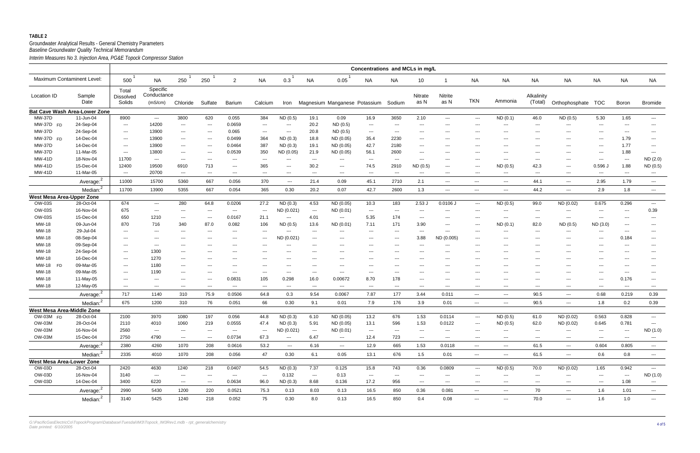### Groundwater Analytical Results - General Chemistry Parameters *Interim Measures No 3. Injection Area, PG&E Topock Compressor Station Baseline Groundwater Quality Technical Memorandum*

|                                  |                                      |                                        |                                                                                                                                                                                                                                                                                                                                                                                                                                                                            |                                          |                                        |                                          |                                        |                                          |                                        |                               | Concentrations and MCLs in mg/L        |                           |                                        |                        |                                        |                        |                          |                      |                          |                          |                          |
|----------------------------------|--------------------------------------|----------------------------------------|----------------------------------------------------------------------------------------------------------------------------------------------------------------------------------------------------------------------------------------------------------------------------------------------------------------------------------------------------------------------------------------------------------------------------------------------------------------------------|------------------------------------------|----------------------------------------|------------------------------------------|----------------------------------------|------------------------------------------|----------------------------------------|-------------------------------|----------------------------------------|---------------------------|----------------------------------------|------------------------|----------------------------------------|------------------------|--------------------------|----------------------|--------------------------|--------------------------|--------------------------|
| Maximum Contaminent Level:       |                                      | 500                                    | NA                                                                                                                                                                                                                                                                                                                                                                                                                                                                         | 250                                      | 250                                    | $\overline{2}$                           | <b>NA</b>                              | 0.3                                      | <b>NA</b>                              | 0.05                          | <b>NA</b>                              | NA                        | 10                                     |                        | <b>NA</b>                              | <b>NA</b>              | <b>NA</b>                | NA                   | <b>NA</b>                | <b>NA</b>                | <b>NA</b>                |
| Location ID                      | Sample<br>Date                       | Total<br><b>Dissolved</b><br>Solids    | Specific<br>Conductance<br>(mS/cm)                                                                                                                                                                                                                                                                                                                                                                                                                                         | Chloride                                 | Sulfate                                | <b>Barium</b>                            | Calcium                                | Iron                                     |                                        | Magnesium Manganese Potassium |                                        | Sodium                    | Nitrate<br>as N                        | Nitrite<br>as N        | <b>TKN</b>                             | Ammonia                | Alkalinity<br>(Total)    | Orthophosphate TOC   |                          | Boron                    | <b>Bromide</b>           |
|                                  | <b>Bat Cave Wash Area-Lower Zone</b> |                                        |                                                                                                                                                                                                                                                                                                                                                                                                                                                                            |                                          |                                        |                                          |                                        |                                          |                                        |                               |                                        |                           |                                        |                        |                                        |                        |                          |                      |                          |                          |                          |
| <b>MW-37D</b>                    | 11-Jun-04                            | 8900                                   | $\frac{1}{2} \left( \frac{1}{2} \right) \left( \frac{1}{2} \right) \left( \frac{1}{2} \right) \left( \frac{1}{2} \right) \left( \frac{1}{2} \right) \left( \frac{1}{2} \right) \left( \frac{1}{2} \right) \left( \frac{1}{2} \right) \left( \frac{1}{2} \right) \left( \frac{1}{2} \right) \left( \frac{1}{2} \right) \left( \frac{1}{2} \right) \left( \frac{1}{2} \right) \left( \frac{1}{2} \right) \left( \frac{1}{2} \right) \left( \frac{1}{2} \right) \left( \frac$ | 3800                                     | 620                                    | 0.055                                    | 384                                    | ND (0.5)                                 | 19.1                                   | 0.09                          | 16.9                                   | 3650                      | 2.10                                   | $\qquad \qquad \cdots$ | $\hspace{0.05cm} \ldots$               | ND(0.1)                | 46.0                     | ND(0.5)              | 5.30                     | 1.65                     | $- - -$                  |
| MW-37D FD                        | 24-Sep-04                            | $\hspace{0.1em} \ldots \hspace{0.1em}$ | 14200                                                                                                                                                                                                                                                                                                                                                                                                                                                                      | $\sim$ $\sim$                            | $\scriptstyle\cdots$                   | 0.0659                                   | $\qquad \qquad -$                      | $\scriptstyle\cdots\scriptstyle\cdots$   | 20.2                                   | ND(0.5)                       | $\sim$ $\sim$                          | $\qquad \qquad -\qquad -$ | $\qquad \qquad \cdots$                 | $---$                  | $---$                                  | $\qquad \qquad -$      | $---$                    | $---$                | ---                      | ---                      | $\qquad \qquad - -$      |
| <b>MW-37D</b>                    | 24-Sep-04                            | $\sim$ $\sim$                          | 13900                                                                                                                                                                                                                                                                                                                                                                                                                                                                      | $--$                                     | ---                                    | 0.065                                    | $\sim$ $\sim$                          | $\hspace{0.05cm} \ldots \hspace{0.05cm}$ | 20.8                                   | ND(0.5)                       | $--$                                   | $--$                      | $---$                                  | $--$                   | $--$                                   | $\qquad \qquad \cdots$ | $--$                     | ---                  | ---                      | ---                      | $\qquad \qquad \cdots$   |
| MW-37D FD                        | 14-Dec-04                            | $\sim$ $\sim$                          | 13900                                                                                                                                                                                                                                                                                                                                                                                                                                                                      | $\cdots$                                 | $\cdots$                               | 0.0499                                   | 364                                    | ND (0.3)                                 | 18.8                                   | ND (0.05)                     | 35.4                                   | 2230                      | $---$                                  | $--$                   | $--$                                   | $\qquad \qquad \cdots$ | $--$                     | ---                  | ---                      | 1.79                     | $\sim$ $\sim$            |
| <b>MW-37D</b>                    | 14-Dec-04                            | $\sim$ $\sim$                          | 13900                                                                                                                                                                                                                                                                                                                                                                                                                                                                      | $\cdots$                                 | $\sim$ $\sim$                          | 0.0464                                   | 387                                    | ND(0.3)                                  | 19.1                                   | ND (0.05)                     | 42.7                                   | 2180                      | $---$                                  | $--$                   | $--$                                   | $\qquad \qquad \cdots$ | $--$                     | $\cdots$             | ---                      | 1.77                     | $\sim$ $\sim$            |
| <b>MW-37D</b>                    | 11-Mar-05                            | $\sim$ $\sim$                          | 13800                                                                                                                                                                                                                                                                                                                                                                                                                                                                      | $\sim$                                   | $\qquad \qquad -$                      | 0.0539                                   | 350                                    | ND (0.05)                                | 21.9                                   | ND (0.05)                     | 56.1                                   | 2600                      | $\qquad \qquad \cdots$                 | $--$                   | $--$                                   | $\qquad \qquad \cdots$ | $--$                     | $\cdots$             | ---                      | 1.88                     | $\sim$ $\sim$            |
| <b>MW-41D</b>                    | 18-Nov-04                            | 11700                                  | $\scriptstyle\cdots$                                                                                                                                                                                                                                                                                                                                                                                                                                                       | $\sim$ $\sim$                            | $\cdots$                               | $\hspace{0.1em} \ldots \hspace{0.1em}$   | $---$                                  | ---                                      | $---$                                  | $---$                         | $--$                                   | $\sim$ $\sim$             | $\scriptstyle\cdots\scriptstyle\cdots$ | $--$                   | $--$                                   | $\qquad \qquad -$      | $---$                    | $\cdots$             | ---                      | $\scriptstyle\cdots$     | ND (2.0)                 |
| <b>MW-41D</b>                    | 15-Dec-04                            | 12400                                  | 19500                                                                                                                                                                                                                                                                                                                                                                                                                                                                      | 6910                                     | 713                                    | $\hspace{0.1em} \ldots \hspace{0.1em}$   | 365                                    | $---$                                    | 30.2                                   | $\cdots$                      | 74.5                                   | 2910                      | ND (0.5)                               | $---$                  | $---$                                  | ND (0.5)               | 42.3                     | $\cdots$             | $0.596$ J                | 1.88                     | ND (0.5)                 |
| <b>MW-41D</b>                    | 11-Mar-05                            | $\sim$ $\sim$                          | 20700                                                                                                                                                                                                                                                                                                                                                                                                                                                                      | $\sim$ $\sim$                            | $\cdots$                               | $\sim$ $\sim$                            | $\sim$ $\sim$                          | $\hspace{0.05cm} \ldots \hspace{0.05cm}$ | $\hspace{0.05cm} \ldots$               | $\cdots$                      | $--$                                   | $\sim$ $\sim$ $\sim$      | $\scriptstyle\cdots\scriptstyle\cdots$ | $\cdots$               | $---$                                  | $\sim$ $\sim$          | $--$                     | $\sim$ $\sim$ $\sim$ | ---                      | ---                      | $\sim$ $\sim$            |
|                                  | Average: <sup>2</sup>                | 11000                                  | 15700                                                                                                                                                                                                                                                                                                                                                                                                                                                                      | 5360                                     | 667                                    | 0.056                                    | 370                                    | $\hspace{0.05cm} \ldots$                 | 21.4                                   | 0.09                          | 45.1                                   | 2710                      | 2.1                                    | $---$                  | $\scriptstyle\cdots$                   | $\sim$ $\sim$ $\sim$   | 44.1                     | $\scriptstyle\cdots$ | 2.95                     | 1.79                     | $\sim$ $\sim$            |
|                                  | Median: <sup>2</sup>                 | 11700                                  | 13900                                                                                                                                                                                                                                                                                                                                                                                                                                                                      | 5355                                     | 667                                    | 0.054                                    | 365                                    | 0.30                                     | 20.2                                   | 0.07                          | 42.7                                   | 2600                      | 1.3                                    | $---$                  | $\qquad \qquad - -$                    | $  -$                  | 44.2                     | $  -$                | 2.9                      | 1.8                      | $\sim$ $\sim$            |
| <b>West Mesa Area-Upper Zone</b> |                                      |                                        |                                                                                                                                                                                                                                                                                                                                                                                                                                                                            |                                          |                                        |                                          |                                        |                                          |                                        |                               |                                        |                           |                                        |                        |                                        |                        |                          |                      |                          |                          |                          |
| <b>OW-03S</b>                    | 28-Oct-04                            | 674                                    | $\qquad \qquad \cdots$                                                                                                                                                                                                                                                                                                                                                                                                                                                     | 280                                      | 64.8                                   | 0.0206                                   | 27.2                                   | ND(0.3)                                  | 4.53                                   | ND (0.05)                     | 10.3                                   | 183                       | 2.53J                                  | $0.0106$ J             | $\hspace{0.05cm} \ldots$               | ND (0.5)               | 99.0                     | ND (0.02)            | 0.675                    | 0.296                    | $\sim$ $\sim$            |
| <b>OW-03S</b>                    | 16-Nov-04                            | 675                                    | $\scriptstyle{\cdots}$ .                                                                                                                                                                                                                                                                                                                                                                                                                                                   | $\qquad \qquad -\qquad -$                | $--$                                   | $\sim$ $\sim$                            | $\hspace{0.1em} \ldots \hspace{0.1em}$ | ND (0.021)                               | $\hspace{0.1em} \ldots \hspace{0.1em}$ | ND (0.01)                     | $\sim$ $\sim$                          | $\sim$ $\sim$             | $---$                                  | $\qquad \qquad \cdots$ | $---$                                  | $\qquad \qquad -$      | $---$                    | $\cdots$             | ---                      | ---                      | 0.39                     |
| <b>OW-03S</b>                    | 15-Dec-04                            | 650                                    | 1210                                                                                                                                                                                                                                                                                                                                                                                                                                                                       | $\sim$ $\sim$                            | $\hspace{0.05cm} \ldots$               | 0.0167                                   | 21.1                                   | $\scriptstyle\cdots\scriptstyle\cdots$   | 4.01                                   | $\scriptstyle \cdots$         | 5.35                                   | 174                       | $\qquad \qquad \cdots$                 | $--$                   | $---$                                  | $--$                   | $---$                    | $\scriptstyle\cdots$ | ---                      | ---                      | $\qquad \qquad -$        |
| MW-18                            | 09-Jun-04                            | 870                                    | 716                                                                                                                                                                                                                                                                                                                                                                                                                                                                        | 340                                      | 87.0                                   | 0.082                                    | 106                                    | ND (0.5)                                 | 13.6                                   | ND (0.01)                     | 7.11                                   | 171                       | 3.90                                   | $--$                   | $---$                                  | ND(0.1)                | 82.0                     | ND (0.5)             | ND(3.0)                  | $\qquad \qquad \cdots$   | $\sim$ $\sim$            |
| MW-18                            | 29-Jul-04                            | $\hspace{0.1em} \ldots \hspace{0.1em}$ | $---$                                                                                                                                                                                                                                                                                                                                                                                                                                                                      | $--$                                     | ---                                    | $\qquad \qquad \cdots$                   | ---                                    | ---                                      | $---$                                  | $\qquad \qquad \cdots$        | $\sim$ $\sim$                          | ---                       | $---$                                  | $\cdots$               | $--$                                   | $\qquad \qquad \cdots$ | $--$                     | $\sim$ $\sim$ $\sim$ | ---                      | $\qquad \qquad -$        | $\sim$ $\sim$            |
| MW-18                            | 08-Sep-04                            | $\qquad \qquad -\qquad -$              | $--$                                                                                                                                                                                                                                                                                                                                                                                                                                                                       | $--$                                     | ---                                    | $\qquad \qquad \cdots$                   | $---$                                  | ND (0.021)                               | $---$                                  | $\qquad \qquad \cdots$        | $--$                                   | $\sim$ $\sim$             | 3.88                                   | ND (0.005)             | $--$                                   | $---$                  | $--$                     | ---                  | ---                      | 0.184                    | $\sim$ $\sim$            |
| MW-18                            | 09-Sep-04                            | $\sim$ $\sim$                          | $---$                                                                                                                                                                                                                                                                                                                                                                                                                                                                      | $--$                                     | ---                                    | $---$                                    | $---$                                  | ---                                      | $---$                                  | $\qquad \qquad -$             | $---$                                  | $\sim$ $\sim$             | $---$                                  | $--$                   | $--$                                   | $---$                  | $--$                     | ---                  | ---                      | $\qquad \qquad -$        | $\sim$ $\sim$            |
| MW-18                            | 24-Sep-04                            | $\qquad \qquad \cdots$                 | 1300                                                                                                                                                                                                                                                                                                                                                                                                                                                                       | $--$                                     | ---                                    | $\qquad \qquad \cdots$                   | ---                                    | ---                                      | $---$                                  | $\qquad \qquad -$             | $--$                                   | $--$                      | $---$                                  | $--$                   | $--$                                   | $\qquad \qquad \cdots$ | $--$                     | ---                  | ---                      | $---$                    | $\qquad \qquad \cdots$   |
| MW-18                            | 16-Dec-04                            | $\qquad \qquad \cdots$                 | 1270                                                                                                                                                                                                                                                                                                                                                                                                                                                                       | $--$                                     | ---                                    | $\qquad \qquad \cdots$                   | ---                                    | ---                                      | $---$                                  | $\qquad \qquad -$             | $--$                                   | $--$                      | $---$                                  | $--$                   | $--$                                   | $\qquad \qquad \cdots$ | $--$                     | ---                  | ---                      | ---                      | $\qquad \qquad \cdots$   |
| MW-18<br><b>FD</b>               | 09-Mar-05                            | $\qquad \qquad \cdots$                 | 1180                                                                                                                                                                                                                                                                                                                                                                                                                                                                       | $\sim$ $\sim$                            |                                        | $\qquad \qquad \cdots$                   | ---                                    | ---                                      | $---$                                  | ---                           | $--$                                   |                           | $---$                                  | $--$                   | $--$                                   | $\qquad \qquad \cdots$ | $--$                     | ---                  | $--$                     | ---                      | $--$                     |
| MW-18                            | 09-Mar-05                            | $\sim$ $\sim$                          | 1190                                                                                                                                                                                                                                                                                                                                                                                                                                                                       | $--$                                     | $---$                                  | $\sim$ $\sim$                            | $---$                                  | $--$                                     | $---$                                  | $\qquad \qquad \cdots$        | $\sim$ $\sim$                          | $--$                      | $---$                                  | $--$                   | $--$                                   | $\qquad \qquad \cdots$ | $--$                     | ---                  | ---                      | ---                      | $\qquad \qquad \cdots$   |
| MW-18                            | 11-May-05                            | $\sim$ $\sim$                          | $---$                                                                                                                                                                                                                                                                                                                                                                                                                                                                      | $\hspace{0.05cm} \ldots \hspace{0.05cm}$ | $\cdots$                               | 0.0831                                   | 105                                    | 0.298                                    | 16.0                                   | 0.00672                       | 8.70                                   | 178                       | $---$                                  | $--$                   | $--$                                   | $\qquad \qquad \cdots$ | $--$                     | ---                  | ---                      | 0.176                    | $\sim$ $\sim$            |
| MW-18                            | 12-May-05                            | $\sim$ $\sim$                          | $\hspace{0.05cm} \ldots \hspace{0.05cm}$                                                                                                                                                                                                                                                                                                                                                                                                                                   | $\sim$ $\sim$                            | $\sim$ $\sim$                          | $\hspace{0.05cm} \ldots$                 | $\hspace{0.1em} \ldots \hspace{0.1em}$ | $\hspace{0.05cm} \ldots \hspace{0.05cm}$ | $\scriptstyle\cdots$                   | $\qquad \qquad \cdots$        | $--$                                   | $\sim$ $\sim$             | $\scriptstyle\cdots\scriptstyle\cdots$ | $\qquad \qquad -$      | $---$                                  | $\sim$ $\sim$          | $---$                    | $\sim$ $\sim$ $\sim$ | $\qquad \qquad \cdots$   | $\hspace{0.05cm} \ldots$ | $\sim$ $\sim$            |
|                                  | Average: <sup>2</sup>                | 717                                    | 1140                                                                                                                                                                                                                                                                                                                                                                                                                                                                       | 310                                      | 75.9                                   | 0.0506                                   | 64.8                                   | 0.3                                      | 9.54                                   | 0.0067                        | 7.87                                   | 177                       | 3.44                                   | 0.011                  | $\qquad \qquad - -$                    | $   \,$                | 90.5                     | $\scriptstyle\cdots$ | 0.68                     | 0.219                    | 0.39                     |
|                                  | Median: <sup>2</sup>                 | 675                                    | 1200                                                                                                                                                                                                                                                                                                                                                                                                                                                                       | 310                                      | 76                                     | 0.051                                    | 66                                     | 0.30                                     | 9.1                                    | 0.01                          | 7.9                                    | 176                       | 3.9                                    | 0.01                   | $\scriptstyle\cdots$                   | $   \,$                | 90.5                     | $\scriptstyle\cdots$ | 1.8                      | 0.2                      | 0.39                     |
| West Mesa Area-Middle Zone       |                                      |                                        |                                                                                                                                                                                                                                                                                                                                                                                                                                                                            |                                          |                                        |                                          |                                        |                                          |                                        |                               |                                        |                           |                                        |                        |                                        |                        |                          |                      |                          |                          |                          |
| OW-03M FD                        | 28-Oct-04                            | 2100                                   | 3970                                                                                                                                                                                                                                                                                                                                                                                                                                                                       | 1080                                     | 197                                    | 0.056                                    | 44.8                                   | ND(0.3)                                  | 6.10                                   | ND (0.05)                     | 13.2                                   | 676                       | 1.53                                   | 0.0114                 | $\hspace{0.05cm} \ldots$               | ND(0.5)                | 61.0                     | ND (0.02)            | 0.563                    | 0.828                    | $\cdots$                 |
| OW-03M                           | 28-Oct-04                            | 2110                                   | 4010                                                                                                                                                                                                                                                                                                                                                                                                                                                                       | 1060                                     | 219                                    | 0.0555                                   | 47.4                                   | ND (0.3)                                 | 5.91                                   | ND (0.05)                     | 13.1                                   | 596                       | 1.53                                   | 0.0122                 | $\scriptstyle\cdots$                   | ND (0.5)               | 62.0                     | ND (0.02)            | 0.645                    | 0.781                    | $\hspace{0.05cm} \ldots$ |
| OW-03M                           | 16-Nov-04                            | 2560                                   | $\scriptstyle\cdots$                                                                                                                                                                                                                                                                                                                                                                                                                                                       | $--$                                     | ---                                    | $\hspace{0.05cm} \ldots \hspace{0.05cm}$ | $\hspace{0.05cm} \ldots$               | ND (0.021)                               | $\sim$ $\sim$                          | ND (0.01)                     | $\scriptstyle\cdots\scriptstyle\cdots$ | $\sim$ $\sim$ $\sim$      | $---$                                  | $---$                  | $---$                                  | $\qquad \qquad - -$    | $---$                    | $\scriptstyle\cdots$ | ---                      | $\hspace{0.05cm} \ldots$ | ND (1.0)                 |
| OW-03M                           | 15-Dec-04                            | 2750                                   | 4790                                                                                                                                                                                                                                                                                                                                                                                                                                                                       | $\sim$                                   | $\scriptstyle\cdots\scriptstyle\cdots$ | 0.0734                                   | 67.3                                   | $\hspace{0.05cm} \ldots$                 | 6.47                                   | $\sim$ $\sim$                 | 12.4                                   | 723                       | $--$                                   | $\qquad \qquad \cdots$ | $---$                                  | $\qquad \qquad - -$    | $\scriptstyle\cdots$     | $\scriptstyle\cdots$ | $\hspace{0.05cm} \ldots$ | $\hspace{0.05cm} \ldots$ | $\sim$ $\sim$            |
|                                  | Average: <sup>2</sup>                | 2380                                   | 4260                                                                                                                                                                                                                                                                                                                                                                                                                                                                       | 1070                                     | 208                                    | 0.0616                                   | 53.2                                   | $\sim$                                   | 6.16                                   | $\sim$ $\sim$                 | 12.9                                   | 665                       | 1.53                                   | 0.0118                 | $\scriptstyle\mathtt{---}$             | $\sim$ $\sim$ $\sim$   | 61.5                     | $\sim$ $\sim$ $\sim$ | 0.604                    | 0.805                    | $\sim$ $\sim$            |
|                                  | Median: <sup>2</sup>                 | 2335                                   | 4010                                                                                                                                                                                                                                                                                                                                                                                                                                                                       | 1070                                     | 208                                    | 0.056                                    | 47                                     | 0.30                                     | 6.1                                    | 0.05                          | 13.1                                   | 676                       | 1.5                                    | 0.01                   | $\scriptstyle\mathtt{---}$             | $\sim$ $\sim$ $\sim$   | 61.5                     | $\sim$ $\sim$        | 0.6                      | 0.8                      | $\sim$ $\sim$ $\sim$     |
| West Mesa Area-Lower Zone        |                                      |                                        |                                                                                                                                                                                                                                                                                                                                                                                                                                                                            |                                          |                                        |                                          |                                        |                                          |                                        |                               |                                        |                           |                                        |                        |                                        |                        |                          |                      |                          |                          |                          |
| OW-03D                           | 28-Oct-04                            | 2420                                   | 4630                                                                                                                                                                                                                                                                                                                                                                                                                                                                       | 1240                                     | 218                                    | 0.0407                                   | 54.5                                   | ND(0.3)                                  | 7.37                                   | 0.125                         | 15.8                                   | 743                       | 0.36                                   | 0.0809                 | $\sim$ $\sim$ $\sim$                   | ND (0.5)               | 70.0                     | ND (0.02)            | 1.65                     | 0.942                    | $\sim$ $\sim$ $\sim$     |
| OW-03D                           | 16-Nov-04                            | 3140                                   | $\sim$                                                                                                                                                                                                                                                                                                                                                                                                                                                                     | $\sim$ $\sim$ $\sim$                     | $\scriptstyle\cdots$                   | $\sim$ $\sim$ $\sim$                     | $\sim$ $\sim$ $\sim$                   | 0.132                                    | $\hspace{0.05cm} \cdots$               | 0.13                          | $--$                                   | $\sim$ $\sim$ $\sim$      | $\scriptstyle\cdots$                   | $\scriptstyle\cdots$   | $\scriptstyle\cdots$                   | $\sim$ $\sim$ $\sim$   | $\scriptstyle\cdots$     | $\sim$ $\sim$ $\sim$ | $\hspace{0.05cm} \ldots$ | $\scriptstyle\cdots$     | ND (1.0)                 |
| <b>OW-03D</b>                    | 14-Dec-04                            | 3400                                   | 6220                                                                                                                                                                                                                                                                                                                                                                                                                                                                       | $\sim$ $\sim$ $\sim$                     | $\hspace{0.05cm} \ldots$               | 0.0634                                   | 96.0                                   | ND(0.3)                                  | 8.68                                   | 0.136                         | 17.2                                   | 956                       | $\scriptstyle\cdots\scriptstyle\cdots$ | $\scriptstyle\cdots$   | $\scriptstyle\cdots$                   | $\qquad \qquad -$      | $\hspace{0.05cm} \ldots$ | $\sim$ $\sim$        | $\hspace{0.05cm} \ldots$ | 1.08                     | $\frac{1}{2}$            |
|                                  | Average: <sup>2</sup>                | 2990                                   | 5430                                                                                                                                                                                                                                                                                                                                                                                                                                                                       | 1200                                     | 220                                    | 0.0521                                   | 75.3                                   | 0.13                                     | 8.03                                   | 0.13                          | 16.5                                   | 850                       | 0.36                                   | 0.081                  | $\sim$                                 | $\sim$ $\sim$ $\sim$   | 70                       | $\sim$ $\sim$ $\sim$ | 1.6                      | 1.01                     | $\hspace{0.05cm} \ldots$ |
|                                  | Median: <sup>2</sup>                 | 3140                                   | 5425                                                                                                                                                                                                                                                                                                                                                                                                                                                                       | 1240                                     | 218                                    | 0.052                                    | 75                                     | 0.30                                     | 8.0                                    | 0.13                          | 16.5                                   | 850                       | 0.4                                    | 0.08                   | $\scriptstyle\cdots\scriptstyle\cdots$ | $\sim$ $\sim$ $\sim$   | 70.0                     | $\sim$ $\sim$ $\sim$ | 1.6                      | 1.0                      | $\sim$ $\sim$            |

*G:\PacificGasElectricCo\TopockProgram\Database\Tuesdai\IM3\Topock\_IM3Rev1.mdb - rpt\_generalchemistry Date printed: 6/10/2005*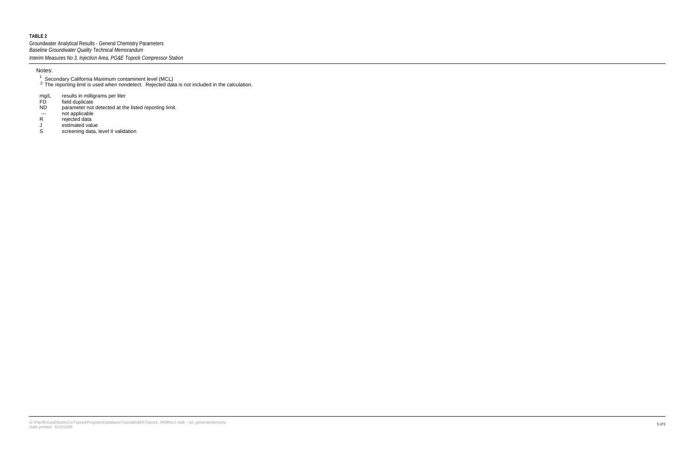Groundwater Analytical Results - General Chemistry Parameters *Interim Measures No 3. Injection Area, PG&E Topock Compressor Station Baseline Groundwater Quality Technical Memorandum*

The reporting limit is used when nondetect. Rejected data is not included in the calculation.

results in milligrams per liter mg/L

field duplicate FD

- parameter not detected at the listed reporting limit. ND
- not applicable ---
- rejected data R
- estimated value J
- screening data, level II validation S

#### Notes:

<sup>1</sup> Secondary California Maximum contaminent level (MCL)  $^2$  The reporting limit is used when pondetect. Rejected day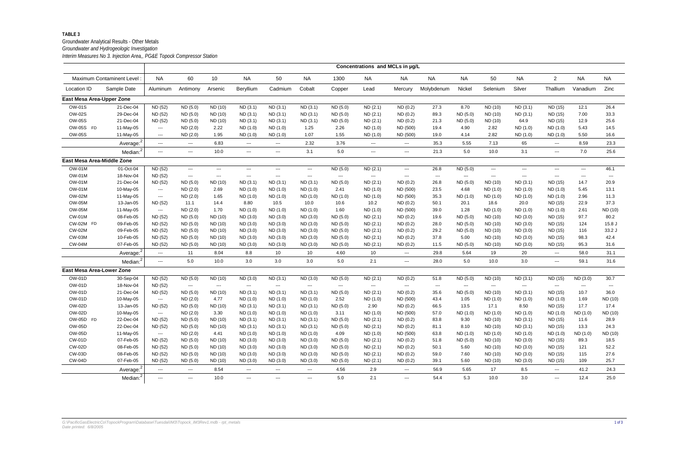## Groundwater Analytical Results - Other Metals

*Interim Measures No 3. Injection Area,, PG&E Topock Compressor Station Groundwater and Hydrogeologic Investigation*

|                                  |                            |                                        |                        |                                        |                        |                                                                                                                                                                                                                                                                                                                                                                                                                                                                            |               |                        | Concentrations and MCLs in µg/L |                        |                                        |                                          |                        |                     |                                                                                                                                                                                                                                                                                                                                                                                                                                                                            |                      |                                          |
|----------------------------------|----------------------------|----------------------------------------|------------------------|----------------------------------------|------------------------|----------------------------------------------------------------------------------------------------------------------------------------------------------------------------------------------------------------------------------------------------------------------------------------------------------------------------------------------------------------------------------------------------------------------------------------------------------------------------|---------------|------------------------|---------------------------------|------------------------|----------------------------------------|------------------------------------------|------------------------|---------------------|----------------------------------------------------------------------------------------------------------------------------------------------------------------------------------------------------------------------------------------------------------------------------------------------------------------------------------------------------------------------------------------------------------------------------------------------------------------------------|----------------------|------------------------------------------|
|                                  | Maximum Contaminent Level: | <b>NA</b>                              | 60                     | 10                                     | <b>NA</b>              | 50                                                                                                                                                                                                                                                                                                                                                                                                                                                                         | <b>NA</b>     | 1300                   | <b>NA</b>                       | <b>NA</b>              | <b>NA</b>                              | <b>NA</b>                                | 50                     | <b>NA</b>           | $\overline{2}$                                                                                                                                                                                                                                                                                                                                                                                                                                                             | <b>NA</b>            | <b>NA</b>                                |
| Location ID                      | Sample Date                | Aluminum                               | Antimony               | Arsenic                                | Beryllium              | Cadmium                                                                                                                                                                                                                                                                                                                                                                                                                                                                    | Cobalt        | Copper                 | Lead                            | Mercury                | Molybdenum                             | Nickel                                   | Selenium               | Silver              | Thallium                                                                                                                                                                                                                                                                                                                                                                                                                                                                   | Vanadium             | Zinc                                     |
| East Mesa Area-Upper Zone        |                            |                                        |                        |                                        |                        |                                                                                                                                                                                                                                                                                                                                                                                                                                                                            |               |                        |                                 |                        |                                        |                                          |                        |                     |                                                                                                                                                                                                                                                                                                                                                                                                                                                                            |                      |                                          |
| <b>OW-01S</b>                    | 21-Dec-04                  | ND (52)                                | ND(5.0)                | ND (10)                                | ND(3.1)                | ND (3.1)                                                                                                                                                                                                                                                                                                                                                                                                                                                                   | ND (3.1)      | ND (5.0)               | ND(2.1)                         | ND(0.2)                | 27.3                                   | 8.70                                     | ND (10)                | ND(3.1)             | ND (15)                                                                                                                                                                                                                                                                                                                                                                                                                                                                    | 12.1                 | 26.4                                     |
| <b>OW-02S</b>                    | 29-Dec-04                  | ND (52)                                | ND (5.0)               | ND (10)                                | ND(3.1)                | ND (3.1)                                                                                                                                                                                                                                                                                                                                                                                                                                                                   | ND(3.1)       | ND (5.0)               | ND(2.1)                         | ND(0.2)                | 89.3                                   | ND (5.0)                                 | ND (10)                | ND (3.1)            | ND (15)                                                                                                                                                                                                                                                                                                                                                                                                                                                                    | 7.00                 | 33.3                                     |
| <b>OW-05S</b>                    | 21-Dec-04                  | ND (52)                                | ND (5.0)               | ND (10)                                | ND(3.1)                | ND (3.1)                                                                                                                                                                                                                                                                                                                                                                                                                                                                   | ND (3.1)      | ND (5.0)               | ND(2.1)                         | ND(0.2)                | 21.3                                   | ND (5.0)                                 | ND (10)                | 64.9                | ND (15)                                                                                                                                                                                                                                                                                                                                                                                                                                                                    | 12.9                 | 25.6                                     |
| OW-05S FD                        | 11-May-05                  | $\scriptstyle \cdots$                  | ND (2.0)               | 2.22                                   | ND(1.0)                | ND (1.0)                                                                                                                                                                                                                                                                                                                                                                                                                                                                   | 1.25          | 2.26                   | ND (1.0)                        | ND (500)               | 19.4                                   | 4.90                                     | 2.82                   | ND(1.0)             | ND(1.0)                                                                                                                                                                                                                                                                                                                                                                                                                                                                    | 5.43                 | 14.5                                     |
| <b>OW-05S</b>                    | 11-May-05                  | $\scriptstyle\cdots\scriptstyle\cdots$ | ND (2.0)               | 1.95                                   | ND (1.0)               | ND (1.0)                                                                                                                                                                                                                                                                                                                                                                                                                                                                   | 1.07          | 1.55                   | ND (1.0)                        | ND (500)               | 19.0                                   | 4.14                                     | 2.82                   | ND (1.0)            | ND (1.0)                                                                                                                                                                                                                                                                                                                                                                                                                                                                   | 5.50                 | 16.6                                     |
|                                  | Average: <sup>2</sup>      | $\sim$ $\sim$ $\sim$                   | $\qquad \qquad \cdots$ | 6.83                                   | $\scriptstyle \cdots$  | $\frac{1}{2} \left( \frac{1}{2} \right) \left( \frac{1}{2} \right) \left( \frac{1}{2} \right) \left( \frac{1}{2} \right) \left( \frac{1}{2} \right) \left( \frac{1}{2} \right) \left( \frac{1}{2} \right) \left( \frac{1}{2} \right) \left( \frac{1}{2} \right) \left( \frac{1}{2} \right) \left( \frac{1}{2} \right) \left( \frac{1}{2} \right) \left( \frac{1}{2} \right) \left( \frac{1}{2} \right) \left( \frac{1}{2} \right) \left( \frac{1}{2} \right) \left( \frac$ | 2.32          | 3.76                   | $\hspace{0.05cm} \ldots$        | $\sim$ $\sim$ $\sim$   | 35.3                                   | 5.55                                     | 7.13                   | 65                  | $\qquad \qquad \cdots$                                                                                                                                                                                                                                                                                                                                                                                                                                                     | 8.59                 | 23.3                                     |
|                                  | Median: <sup>2</sup>       | $\sim$ $\sim$ $\sim$                   | $\sim$ $\sim$ $\sim$   | 10.0                                   | $\sim$ $\sim$ $\sim$   | $\frac{1}{2} \frac{1}{2} \frac{1}{2} \frac{1}{2} \frac{1}{2} \frac{1}{2} \frac{1}{2} \frac{1}{2} \frac{1}{2} \frac{1}{2} \frac{1}{2} \frac{1}{2} \frac{1}{2} \frac{1}{2} \frac{1}{2} \frac{1}{2} \frac{1}{2} \frac{1}{2} \frac{1}{2} \frac{1}{2} \frac{1}{2} \frac{1}{2} \frac{1}{2} \frac{1}{2} \frac{1}{2} \frac{1}{2} \frac{1}{2} \frac{1}{2} \frac{1}{2} \frac{1}{2} \frac{1}{2} \frac{$                                                                               | 3.1           | 5.0                    | $\sim$ $\sim$                   | $\sim$ $\sim$ $\sim$   | 21.3                                   | 5.0                                      | 10.0                   | 3.1                 | $\frac{1}{2} \left( \frac{1}{2} \right) \left( \frac{1}{2} \right) \left( \frac{1}{2} \right) \left( \frac{1}{2} \right) \left( \frac{1}{2} \right) \left( \frac{1}{2} \right) \left( \frac{1}{2} \right) \left( \frac{1}{2} \right) \left( \frac{1}{2} \right) \left( \frac{1}{2} \right) \left( \frac{1}{2} \right) \left( \frac{1}{2} \right) \left( \frac{1}{2} \right) \left( \frac{1}{2} \right) \left( \frac{1}{2} \right) \left( \frac{1}{2} \right) \left( \frac$ | 7.0                  | 25.6                                     |
| East Mesa Area-Middle Zone       |                            |                                        |                        |                                        |                        |                                                                                                                                                                                                                                                                                                                                                                                                                                                                            |               |                        |                                 |                        |                                        |                                          |                        |                     |                                                                                                                                                                                                                                                                                                                                                                                                                                                                            |                      |                                          |
| <b>OW-01M</b>                    | 01-Oct-04                  | ND (52)                                | $\sim$ $\sim$ $\sim$   | $\sim$ $\sim$ $\sim$                   | $\sim$ $\sim$ $\sim$   | $\frac{1}{2} \frac{1}{2} \frac{1}{2} \frac{1}{2} \frac{1}{2} \frac{1}{2} \frac{1}{2} \frac{1}{2} \frac{1}{2} \frac{1}{2} \frac{1}{2} \frac{1}{2} \frac{1}{2} \frac{1}{2} \frac{1}{2} \frac{1}{2} \frac{1}{2} \frac{1}{2} \frac{1}{2} \frac{1}{2} \frac{1}{2} \frac{1}{2} \frac{1}{2} \frac{1}{2} \frac{1}{2} \frac{1}{2} \frac{1}{2} \frac{1}{2} \frac{1}{2} \frac{1}{2} \frac{1}{2} \frac{$                                                                               | $\cdots$      | ND (5.0)               | ND(2.1)                         | $\sim$ $\sim$ $\sim$   | 26.8                                   | ND (5.0)                                 | $\sim$ $\sim$ $\sim$   | $\qquad \qquad - -$ | $\cdots$                                                                                                                                                                                                                                                                                                                                                                                                                                                                   | $\sim$ $\sim$ $\sim$ | 46.1                                     |
| <b>OW-01M</b>                    | 18-Nov-04                  | ND (52)                                | $\qquad \qquad \cdots$ | $\sim$ $\sim$ $\sim$                   | $\sim$ $\sim$ $\sim$   | $\frac{1}{2}$                                                                                                                                                                                                                                                                                                                                                                                                                                                              | $\cdots$      | $\sim$ $\sim$          | $\sim$                          | $\sim$ $\sim$ $\sim$   | $\sim$ $\sim$                          | $\sim$ $\sim$ $\sim$                     | $\sim$ $\sim$ $\sim$   | $\overline{a}$      | $\cdots$                                                                                                                                                                                                                                                                                                                                                                                                                                                                   | $\cdots$             | $\hspace{0.05cm} \ldots \hspace{0.05cm}$ |
| <b>OW-01M</b>                    | 21-Dec-04                  | ND (52)                                | ND(5.0)                | ND (10)                                | ND(3.1)                | ND(3.1)                                                                                                                                                                                                                                                                                                                                                                                                                                                                    | ND(3.1)       | ND (5.0)               | ND(2.1)                         | ND(0.2)                | 26.8                                   | ND (5.0)                                 | ND (10)                | ND (3.1)            | ND (15)                                                                                                                                                                                                                                                                                                                                                                                                                                                                    | 14.7                 | 20.9                                     |
| <b>OW-01M</b>                    | 10-May-05                  | $\scriptstyle \cdots$                  | ND (2.0)               | 2.69                                   | ND (1.0)               | ND (1.0)                                                                                                                                                                                                                                                                                                                                                                                                                                                                   | ND (1.0)      | 2.41                   | ND (1.0)                        | ND (500)               | 23.5                                   | 4.68                                     | ND (1.0)               | ND(1.0)             | ND(1.0)                                                                                                                                                                                                                                                                                                                                                                                                                                                                    | 5.45                 | 13.1                                     |
| <b>OW-02M</b>                    | 11-May-05                  | $\scriptstyle \cdots$                  | ND (2.0)               | 1.65                                   | ND(1.0)                | ND (1.0)                                                                                                                                                                                                                                                                                                                                                                                                                                                                   | ND (1.0)      | ND (1.0)               | ND (1.0)                        | ND (500)               | 35.3                                   | ND (1.0)                                 | ND (1.0)               | ND (1.0)            | ND(1.0)                                                                                                                                                                                                                                                                                                                                                                                                                                                                    | 2.96                 | 11.3                                     |
| <b>OW-05M</b>                    | 13-Jan-05                  | ND (52)                                | 11.1                   | 14.4                                   | 8.80                   | 10.5                                                                                                                                                                                                                                                                                                                                                                                                                                                                       | 10.0          | 10.6                   | 10.2                            | ND(0.2)                | 50.1                                   | 20.1                                     | 18.6                   | 20.0                | ND (15)                                                                                                                                                                                                                                                                                                                                                                                                                                                                    | 22.9                 | 37.3                                     |
| <b>OW-05M</b>                    | 11-May-05                  | $\scriptstyle \cdots$                  | ND (2.0)               | 1.70                                   | ND (1.0)               | ND (1.0)                                                                                                                                                                                                                                                                                                                                                                                                                                                                   | ND (1.0)      | 1.60                   | ND(1.0)                         | ND (500)               | 39.0                                   | 1.28                                     | ND (1.0)               | ND (1.0)            | ND (1.0)                                                                                                                                                                                                                                                                                                                                                                                                                                                                   | 2.61                 | ND (10)                                  |
| <b>CW-01M</b>                    | 08-Feb-05                  | ND (52)                                | ND (5.0)               | ND (10)                                | ND(3.0)                | ND (3.0)                                                                                                                                                                                                                                                                                                                                                                                                                                                                   | ND (3.0)      | ND (5.0)               | ND (2.1)                        | ND(0.2)                | 19.6                                   | ND (5.0)                                 | ND (10)                | ND(3.0)             | ND (15)                                                                                                                                                                                                                                                                                                                                                                                                                                                                    | 97.7                 | 80.2                                     |
| CW-02M FD                        | 09-Feb-05                  | ND (52)                                | ND (5.0)               | ND (10)                                | ND(3.0)                | ND (3.0)                                                                                                                                                                                                                                                                                                                                                                                                                                                                   | ND (3.0)      | ND (5.0)               | ND (2.1)                        | ND(0.2)                | 28.0                                   | ND (5.0)                                 | ND (10)                | ND (3.0)            | ND (15)                                                                                                                                                                                                                                                                                                                                                                                                                                                                    | 124                  | $15.8$ J                                 |
| <b>CW-02M</b>                    | 09-Feb-05                  | ND (52)                                | ND (5.0)               | ND (10)                                | ND (3.0)               | ND (3.0)                                                                                                                                                                                                                                                                                                                                                                                                                                                                   | ND (3.0)      | ND (5.0)               | ND (2.1)                        | ND(0.2)                | 29.2                                   | ND (5.0)                                 | ND (10)                | ND(3.0)             | ND (15)                                                                                                                                                                                                                                                                                                                                                                                                                                                                    | 116                  | 33.2 J                                   |
| <b>CW-03M</b>                    | 10-Feb-05                  | ND (52)                                | ND(5.0)                | ND (10)                                | ND (3.0)               | ND (3.0)                                                                                                                                                                                                                                                                                                                                                                                                                                                                   | ND (3.0)      | ND (5.0)               | ND (2.1)                        | ND(0.2)                | 37.8                                   | 5.00                                     | ND (10)                | ND(3.0)             | ND (15)                                                                                                                                                                                                                                                                                                                                                                                                                                                                    | 98.3                 | 42.4                                     |
| <b>CW-04M</b>                    | 07-Feb-05                  | ND (52)                                | ND(5.0)                | ND (10)                                | ND(3.0)                | ND (3.0)                                                                                                                                                                                                                                                                                                                                                                                                                                                                   | ND(3.0)       | ND(5.0)                | ND (2.1)                        | ND(0.2)                | 11.5                                   | ND (5.0)                                 | ND (10)                | ND (3.0)            | ND (15)                                                                                                                                                                                                                                                                                                                                                                                                                                                                    | 95.3                 | 31.6                                     |
|                                  | Average:                   | $\sim$ $\sim$ $\sim$                   | 11                     | 8.04                                   | 8.8                    | 10                                                                                                                                                                                                                                                                                                                                                                                                                                                                         | 10            | 4.60                   | 10                              | $\qquad \qquad \cdots$ | 29.8                                   | 5.64                                     | 19                     | 20                  | ---                                                                                                                                                                                                                                                                                                                                                                                                                                                                        | 58.0                 | 31.1                                     |
|                                  | Median: <sup>2</sup>       | $\scriptstyle \cdots$                  | 5.0                    | 10.0                                   | 3.0                    | 3.0                                                                                                                                                                                                                                                                                                                                                                                                                                                                        | 3.0           | 5.0                    | 2.1                             | $\qquad \qquad \cdots$ | 28.0                                   | 5.0                                      | 10.0                   | 3.0                 | ---                                                                                                                                                                                                                                                                                                                                                                                                                                                                        | 59.1                 | 31.6                                     |
| <b>East Mesa Area-Lower Zone</b> |                            |                                        |                        |                                        |                        |                                                                                                                                                                                                                                                                                                                                                                                                                                                                            |               |                        |                                 |                        |                                        |                                          |                        |                     |                                                                                                                                                                                                                                                                                                                                                                                                                                                                            |                      |                                          |
| <b>OW-01D</b>                    | 30-Sep-04                  | ND (52)                                | ND (5.0)               | ND (10)                                | ND (3.0)               | ND (3.1)                                                                                                                                                                                                                                                                                                                                                                                                                                                                   | ND (3.0)      | ND (5.0)               | ND(2.1)                         | ND(0.2)                | 51.8                                   | ND (5.0)                                 | ND (10)                | ND (3.1)            | ND (15)                                                                                                                                                                                                                                                                                                                                                                                                                                                                    | ND (3.0)             | 30.7                                     |
| <b>OW-01D</b>                    | 18-Nov-04                  | ND (52)                                | $\qquad \qquad \cdots$ | $\scriptstyle\cdots\scriptstyle\cdots$ | $\qquad \qquad \cdots$ | $\cdots$                                                                                                                                                                                                                                                                                                                                                                                                                                                                   | $\cdots$      | $\qquad \qquad \cdots$ | $\hspace{0.05cm} \ldots$        | $\qquad \qquad \cdots$ | $\hspace{0.1em} \ldots \hspace{0.1em}$ | $\hspace{0.05cm} \ldots \hspace{0.05cm}$ | $\qquad \qquad \cdots$ | $\frac{1}{2}$       | $\qquad \qquad \cdots$                                                                                                                                                                                                                                                                                                                                                                                                                                                     | $\sim$ $\sim$ $\sim$ | $\qquad \qquad -$                        |
| <b>OW-01D</b>                    | 21-Dec-04                  | ND (52)                                | ND(5.0)                | ND (10)                                | ND(3.1)                | ND(3.1)                                                                                                                                                                                                                                                                                                                                                                                                                                                                    | ND(3.1)       | ND (5.0)               | ND(2.1)                         | ND(0.2)                | 35.6                                   | ND (5.0)                                 | ND (10)                | ND(3.1)             | ND (15)                                                                                                                                                                                                                                                                                                                                                                                                                                                                    | 10.7                 | 36.0                                     |
| <b>OW-01D</b>                    | 10-May-05                  | $\scriptstyle \cdots$                  | ND (2.0)               | 4.77                                   | ND(1.0)                | ND (1.0)                                                                                                                                                                                                                                                                                                                                                                                                                                                                   | ND (1.0)      | 2.52                   | ND(1.0)                         | ND (500)               | 43.4                                   | 1.05                                     | ND (1.0)               | ND (1.0)            | ND (1.0)                                                                                                                                                                                                                                                                                                                                                                                                                                                                   | 1.69                 | ND (10)                                  |
| <b>OW-02D</b>                    | 13-Jan-05                  | ND (52)                                | ND (5.0)               | ND (10)                                | ND(3.1)                | ND (3.1)                                                                                                                                                                                                                                                                                                                                                                                                                                                                   | ND(3.1)       | ND (5.0)               | 2.90                            | ND(0.2)                | 66.5                                   | 13.5                                     | 17.1                   | 8.50                | ND (15)                                                                                                                                                                                                                                                                                                                                                                                                                                                                    | 17.7                 | 17.4                                     |
| <b>OW-02D</b>                    | 10-May-05                  | $\sim$ $\sim$ $\sim$                   | ND (2.0)               | 3.30                                   | ND (1.0)               | ND (1.0)                                                                                                                                                                                                                                                                                                                                                                                                                                                                   | ND (1.0)      | 3.11                   | ND(1.0)                         | ND (500)               | 57.0                                   | ND (1.0)                                 | ND (1.0)               | ND (1.0)            | ND(1.0)                                                                                                                                                                                                                                                                                                                                                                                                                                                                    | ND(1.0)              | ND (10)                                  |
| OW-05D FD                        | 22-Dec-04                  | ND (52)                                | ND (5.0)               | ND (10)                                | ND(3.1)                | ND(3.1)                                                                                                                                                                                                                                                                                                                                                                                                                                                                    | ND (3.1)      | ND (5.0)               | ND (2.1)                        | ND(0.2)                | 83.8                                   | 9.30                                     | ND (10)                | ND (3.1)            | ND (15)                                                                                                                                                                                                                                                                                                                                                                                                                                                                    | 11.6                 | 28.9                                     |
| OW-05D                           | 22-Dec-04                  | ND (52)                                | ND (5.0)               | ND (10)                                | ND (3.1)               | ND (3.1)                                                                                                                                                                                                                                                                                                                                                                                                                                                                   | ND (3.1)      | ND (5.0)               | ND (2.1)                        | ND (0.2)               | 81.1                                   | 8.10                                     | ND (10)                | ND (3.1)            | ND (15)                                                                                                                                                                                                                                                                                                                                                                                                                                                                    | 13.3                 | 24.3                                     |
| OW-05D                           | 11-May-05                  | $\sim$ $\sim$                          | ND (2.0)               | 4.41                                   | ND (1.0)               | ND (1.0)                                                                                                                                                                                                                                                                                                                                                                                                                                                                   | ND (1.0)      | 4.09                   | ND (1.0)                        | ND (500)               | 63.8                                   | ND (1.0)                                 | ND (1.0)               | ND (1.0)            | ND (1.0)                                                                                                                                                                                                                                                                                                                                                                                                                                                                   | ND (1.0)             | ND (10)                                  |
| <b>CW-01D</b>                    | 07-Feb-05                  | ND (52)                                | ND (5.0)               | ND (10)                                | ND (3.0)               | ND (3.0)                                                                                                                                                                                                                                                                                                                                                                                                                                                                   | ND (3.0)      | ND (5.0)               | ND (2.1)                        | ND (0.2)               | 51.8                                   | ND (5.0)                                 | ND (10)                | ND (3.0)            | ND (15)                                                                                                                                                                                                                                                                                                                                                                                                                                                                    | 89.3                 | 18.5                                     |
| <b>CW-02D</b>                    | 08-Feb-05                  | ND (52)                                | ND (5.0)               | ND (10)                                | ND (3.0)               | ND (3.0)                                                                                                                                                                                                                                                                                                                                                                                                                                                                   | ND (3.0)      | ND (5.0)               | ND (2.1)                        | ND (0.2)               | 50.1                                   | 5.60                                     | ND (10)                | ND (3.0)            | ND (15)                                                                                                                                                                                                                                                                                                                                                                                                                                                                    | 121                  | 52.2                                     |
| CW-03D                           | 08-Feb-05                  | ND (52)                                | ND (5.0)               | ND (10)                                | ND (3.0)               | ND (3.0)                                                                                                                                                                                                                                                                                                                                                                                                                                                                   | ND (3.0)      | ND (5.0)               | ND (2.1)                        | ND (0.2)               | 59.0                                   | 7.60                                     | ND (10)                | ND (3.0)            | ND (15)                                                                                                                                                                                                                                                                                                                                                                                                                                                                    | 115                  | 27.6                                     |
| <b>CW-04D</b>                    | 07-Feb-05                  | ND (52)                                | ND (5.0)               | ND (10)                                | ND(3.0)                | ND(3.0)                                                                                                                                                                                                                                                                                                                                                                                                                                                                    | ND(3.0)       | ND (5.0)               | ND (2.1)                        | ND (0.2)               | 39.1                                   | 5.60                                     | ND (10)                | ND (3.0)            | ND (15)                                                                                                                                                                                                                                                                                                                                                                                                                                                                    | 109                  | 25.7                                     |
|                                  | Average:                   | $\sim$ $\sim$ $\sim$                   | $\sim$ $\sim$          | 8.54                                   | $\sim$ $\sim$          | $\qquad \qquad \cdots$                                                                                                                                                                                                                                                                                                                                                                                                                                                     | $\sim$ $\sim$ | 4.56                   | 2.9                             | $\sim$ $\sim$          | 56.9                                   | 5.65                                     | 17                     | 8.5                 | $\sim$ $\sim$                                                                                                                                                                                                                                                                                                                                                                                                                                                              | 41.2                 | 24.3                                     |
|                                  | Median: <sup>2</sup>       | $\sim$                                 | $\sim$                 | 10.0                                   | $\sim$                 | $\hspace{0.05cm} \ldots \hspace{0.05cm}$                                                                                                                                                                                                                                                                                                                                                                                                                                   | $\sim$        | 5.0                    | 2.1                             | $\sim$                 | 54.4                                   | 5.3                                      | 10.0                   | 3.0                 | $\sim$                                                                                                                                                                                                                                                                                                                                                                                                                                                                     | 12.4                 | 25.0                                     |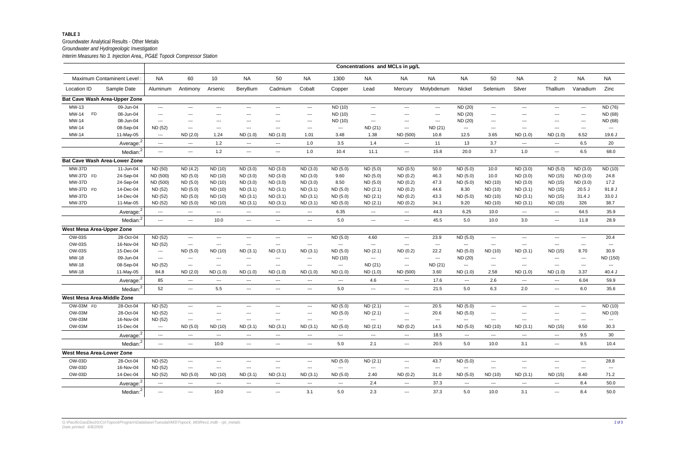#### Groundwater Analytical Results - Other Metals *Groundwater and Hydrogeologic Investigation*

*Interim Measures No 3. Injection Area,, PG&E Topock Compressor Station*

|                                  |                                      |                                        |                                          |                                        |                                        |                          |                                        |                                          | Concentrations and MCLs in µg/L |                          |            |                                          |                                        |                     |                                        |                            |                          |
|----------------------------------|--------------------------------------|----------------------------------------|------------------------------------------|----------------------------------------|----------------------------------------|--------------------------|----------------------------------------|------------------------------------------|---------------------------------|--------------------------|------------|------------------------------------------|----------------------------------------|---------------------|----------------------------------------|----------------------------|--------------------------|
|                                  | Maximum Contaminent Level:           | <b>NA</b>                              | 60                                       | 10 <sup>°</sup>                        | <b>NA</b>                              | 50                       | <b>NA</b>                              | 1300                                     | <b>NA</b>                       | <b>NA</b>                | <b>NA</b>  | <b>NA</b>                                | 50                                     | <b>NA</b>           | $\overline{2}$                         | <b>NA</b>                  | <b>NA</b>                |
| Location ID                      | Sample Date                          | Aluminum                               | Antimony                                 | Arsenic                                | Beryllium                              | Cadmium                  | Cobalt                                 | Copper                                   | Lead                            | Mercury                  | Molybdenum | Nickel                                   | Selenium                               | Silver              | Thallium                               | Vanadium                   | Zinc                     |
|                                  | <b>Bat Cave Wash Area-Upper Zone</b> |                                        |                                          |                                        |                                        |                          |                                        |                                          |                                 |                          |            |                                          |                                        |                     |                                        |                            |                          |
| MW-13                            | 09-Jun-04                            | ---                                    | ---                                      | $\sim$ $\sim$                          | $\sim$ $\sim$ $\sim$                   | $--$                     | $\sim$ $\sim$ $\sim$                   | ND (10)                                  | $\qquad \qquad - \qquad$        | ---                      | $\cdots$   | ND (20)                                  | $\scriptstyle \cdots$                  | ---                 | ---                                    | $\sim$ $\sim$              | ND (76)                  |
| MW-14<br><b>FD</b>               | 08-Jun-04                            | $\sim$ $\sim$ $\sim$                   | $---$                                    | $\sim$ $\sim$                          | $\sim$ $\sim$                          | $---$                    | $\sim$ $\sim$                          | ND (10)                                  | $\qquad \qquad \cdots$          | ---                      | $---$      | ND (20)                                  | $\hspace{0.05cm} \ldots$               | ---                 | $\qquad \qquad -\qquad -$              | $\qquad \qquad \cdots$     | ND (68)                  |
| MW-14                            | 08-Jun-04                            | $\sim$ $\sim$ $\sim$                   | $---$                                    | $\sim$ $\sim$ $\sim$                   | $\sim$ $\sim$                          | $---$                    | $\sim$ $\sim$ $\sim$                   | ND (10)                                  | $\sim$ $\sim$                   | ---                      | ---        | ND (20)                                  | $\hspace{0.05cm} \ldots$               | ---                 | ---                                    | $\qquad \qquad \cdots$     | ND (68)                  |
| MW-14                            | 08-Sep-04                            | ND (52)                                | $\hspace{0.05cm} \ldots$                 | $\sim$ $\sim$                          | $\sim$ $\sim$                          | $--$                     | $\sim$ $\sim$ $\sim$                   | ---                                      | ND (21)                         | $---$                    | ND (21)    | $\qquad \qquad \cdots$                   | $\hspace{0.05cm} \ldots$               | $--$                | $\hspace{0.05cm} \ldots$               | $\sim$ $\sim$ $\sim$       | $\hspace{0.05cm} \ldots$ |
| MW-14                            | 11-May-05                            | $\sim$ $\sim$                          | ND(2.0)                                  | 1.24                                   | ND(1.0)                                | ND (1.0)                 | 1.01                                   | 3.48                                     | 1.38                            | ND (500)                 | 10.8       | 12.5                                     | 3.65                                   | ND (1.0)            | ND (1.0)                               | 6.52                       | 19.6 J                   |
|                                  | Average <sup>2</sup>                 | $\sim$                                 | $\frac{1}{2}$                            | 1.2                                    | $\hspace{0.05cm} \ldots$               | $\hspace{0.05cm} \ldots$ | 1.0                                    | 3.5                                      | 1.4                             | $\hspace{0.05cm} \ldots$ | 11         | 13                                       | 3.7                                    | $\cdots$            | ---                                    | 6.5                        | 20                       |
|                                  | Median: <sup>2</sup>                 | $\sim$ $\sim$ $\sim$                   | $\sim$ $\sim$ $\sim$                     | $1.2$                                  | $\sim$ $\sim$ $\sim$                   | $\cdots$                 | 1.0                                    | 10.4                                     | 11.1                            | $\overline{\phantom{a}}$ | 15.8       | 20.0                                     | 3.7                                    | 1.0                 | $\scriptstyle \cdots$                  | 6.5                        | 68.0                     |
|                                  | <b>Bat Cave Wash Area-Lower Zone</b> |                                        |                                          |                                        |                                        |                          |                                        |                                          |                                 |                          |            |                                          |                                        |                     |                                        |                            |                          |
| <b>MW-37D</b>                    | 11-Jun-04                            | ND (50)                                | ND(4.2)                                  | ND (10)                                | ND (3.0)                               | ND (3.0)                 | ND (3.0)                               | ND (5.0)                                 | ND (5.0)                        | ND(0.5)                  | 50.0       | ND (5.0)                                 | 10.0                                   | ND (3.0)            | ND (5.0)                               | ND (3.0)                   | ND (10)                  |
| MW-37D FD                        | 24-Sep-04                            | ND (500)                               | ND (5.0)                                 | ND (10)                                | ND (3.0)                               | ND (3.0)                 | ND (3.0)                               | 9.60                                     | ND (5.0)                        | ND(0.2)                  | 46.3       | ND (5.0)                                 | 10.0                                   | ND (3.0)            | ND (15)                                | ND (3.0)                   | 24.8                     |
| <b>MW-37D</b>                    | 24-Sep-04                            | ND (500)                               | ND (5.0)                                 | ND (10)                                | ND (3.0)                               | ND (3.0)                 | ND (3.0)                               | 8.50                                     | ND (5.0)                        | ND(0.2)                  | 47.3       | ND (5.0)                                 | ND (10)                                | ND (3.0)            | ND (15)                                | ND (3.0)                   | 17.2                     |
| MW-37D FD                        | 14-Dec-04                            | ND (52)                                | ND (5.0)                                 | ND (10)                                | ND(3.1)                                | ND(3.1)                  | ND (3.1)                               | ND (5.0)                                 | ND(2.1)                         | ND(0.2)                  | 44.6       | 8.30                                     | ND (10)                                | ND (3.1)            | ND (15)                                | $20.5$ J                   | 91.8 J                   |
| <b>MW-37D</b>                    | 14-Dec-04                            | ND (52)                                | ND (5.0)                                 | ND (10)                                | ND(3.1)                                | ND(3.1)                  | ND (3.1)                               | ND (5.0)                                 | ND (2.1)                        | ND(0.2)                  | 43.3       | ND (5.0)                                 | ND (10)                                | ND(3.1)             | ND (15)                                | 31.4J                      | 33.0J                    |
| <b>MW-37D</b>                    | 11-Mar-05                            | ND (52)                                | ND (5.0)                                 | ND (10)                                | ND (3.1)                               | ND(3.1)                  | ND (3.1)                               | ND (5.0)                                 | ND(2.1)                         | ND(0.2)                  | 34.1       | 9.20                                     | ND (10)                                | ND(3.1)             | ND (15)                                | 326                        | 38.7                     |
|                                  | Average: <sup>2</sup>                | $\sim$                                 | $\scriptstyle \cdots$                    | $\scriptstyle\cdots\scriptstyle\cdots$ | $\scriptstyle\cdots$                   | $\hspace{0.05cm} \ldots$ | $\hspace{0.05cm} \ldots$               | 6.35                                     | ---                             | $\sim$                   | 44.3       | 6.25                                     | 10.0                                   | $\cdots$            | $\hspace{0.05cm} \ldots$               | 64.5                       | 35.9                     |
|                                  | Median: <sup>2</sup>                 | $\sim$                                 | $\frac{1}{2}$                            | 10.0                                   | $\hspace{0.05cm} \ldots$               | $\sim$                   | $\hspace{0.05cm} \ldots$               | 5.0                                      | $\cdots$                        | $\sim$ $\sim$            | 45.5       | 5.0                                      | 10.0                                   | 3.0                 | $\qquad \qquad \cdots$                 | 11.8                       | 28.9                     |
| <b>West Mesa Area-Upper Zone</b> |                                      |                                        |                                          |                                        |                                        |                          |                                        |                                          |                                 |                          |            |                                          |                                        |                     |                                        |                            |                          |
| <b>OW-03S</b>                    | 28-Oct-04                            | ND (52)                                | $\scriptstyle \cdots$                    | $\sim$ $\sim$ $\sim$                   | $\hspace{0.05cm} \ldots$               | $--$                     | $\qquad \qquad \cdots$                 | ND (5.0)                                 | 4.60                            | $---$                    | 23.9       | ND (5.0)                                 | $\sim$                                 | ---                 | ---                                    | $\cdots$                   | 20.4                     |
| <b>OW-03S</b>                    | 16-Nov-04                            | ND (52)                                | $\hspace{0.05cm} \ldots \hspace{0.05cm}$ | $\hspace{0.05cm} \ldots$               | $\hspace{0.05cm} \ldots$               | $---$                    | $\sim$                                 | $\sim$                                   | $\sim$                          | $\sim$ $\sim$            | $--$       | $\sim$                                   | $\sim$                                 | $\cdots$            | $\hspace{0.05cm} \ldots$               | $\qquad \qquad - -$        | $\hspace{0.05cm} \ldots$ |
| <b>OW-03S</b>                    | 15-Dec-04                            | $\sim$                                 | ND (5.0)                                 | ND (10)                                | ND(3.1)                                | ND(3.1)                  | ND(3.1)                                | ND (5.0)                                 | ND(2.1)                         | ND(0.2)                  | 22.2       | ND(5.0)                                  | ND (10)                                | ND(3.1)             | ND (15)                                | 8.70                       | 30.9                     |
| MW-18                            | 09-Jun-04                            | $\sim$ $\sim$ $\sim$                   | $\hspace{0.05cm} \ldots$                 | $\sim$ $\sim$                          | $\sim$ $\sim$                          | $\qquad \qquad -$        | $\hspace{0.05cm} \ldots$               | ND (10)                                  | $\sim$                          | $---$                    | $---$      | ND (20)                                  | $\hspace{0.05cm} \ldots$               | ---                 | ---                                    | $\qquad \qquad - -$        | ND (150)                 |
| MW-18                            | 08-Sep-04                            | ND (52)                                | $\qquad \qquad \cdots$                   | $\sim$                                 | $\frac{1}{2}$                          | $---$                    | $\sim$                                 | $\qquad \qquad \cdots$                   | ND (21)                         | $---$                    | ND (21)    | $\sim$                                   | $\hspace{0.05cm} \ldots$               | $\cdots$            | $\hspace{0.05cm} \ldots$               | $\qquad \qquad \cdots$     | $\sim$                   |
| MW-18                            | 11-May-05                            | 84.8                                   | ND(2.0)                                  | ND (1.0)                               | ND (1.0)                               | ND (1.0)                 | ND (1.0)                               | ND (1.0)                                 | ND(1.0)                         | ND (500)                 | 3.60       | ND(1.0)                                  | 2.58                                   | ND (1.0)            | ND(1.0)                                | 3.37                       | 40.4 J                   |
|                                  | Average: <sup>2</sup>                | 85                                     | $\frac{1}{2}$                            | $\hspace{0.05cm} \ldots$               | $\hspace{0.05cm} \ldots$               | $\scriptstyle\cdots$     | $\sim$ $\sim$                          | $\hspace{0.05cm} \ldots \hspace{0.05cm}$ | 4.6                             | $\sim$                   | 17.6       | $\hspace{0.05cm} \ldots$                 | 2.6                                    | $\cdots$            | $\sim$ $\sim$                          | 6.04                       | 59.9                     |
|                                  | Median: <sup>2</sup>                 | 52                                     | $\scriptstyle \cdots$                    | 5.5                                    | $\hspace{0.05cm} \ldots$               | $\frac{1}{2}$            | $\hspace{0.05cm} \ldots$               | 5.0                                      | $\cdots$                        | $\sim$ $\sim$            | 21.5       | 5.0                                      | 6.3                                    | 2.0                 | $\sim$                                 | 6.0                        | 35.6                     |
| West Mesa Area-Middle Zone       |                                      |                                        |                                          |                                        |                                        |                          |                                        |                                          |                                 |                          |            |                                          |                                        |                     |                                        |                            |                          |
| OW-03M FD                        | 28-Oct-04                            | ND (52)                                | $\sim$ $\sim$ $\sim$                     | $\sim$ $\sim$                          | $\sim$ $\sim$                          | $--$                     | $\hspace{0.05cm} \ldots$               | ND (5.0)                                 | ND(2.1)                         | $\sim$ $\sim$            | 20.5       | ND (5.0)                                 | $\scriptstyle \cdots$                  | ---                 | ---                                    | $\cdots$                   | ND (10)                  |
| <b>OW-03M</b>                    | 28-Oct-04                            | ND (52)                                | $\qquad \qquad \cdots$                   | $\sim$ $\sim$ $\sim$                   | $\sim$ $\sim$                          | ---                      | $\hspace{0.05cm} \ldots$               | ND (5.0)                                 | ND(2.1)                         | ---                      | 20.6       | ND (5.0)                                 | $\hspace{0.05cm} \ldots$               | ---                 | ---                                    | $\qquad \qquad - -$        | ND (10)                  |
| OW-03M                           | 16-Nov-04                            | ND (52)                                | $\hspace{0.05cm} \ldots \hspace{0.05cm}$ | $\qquad \qquad - -$                    | $\hspace{0.05cm} \ldots$               | $\frac{1}{2}$            | $\hspace{0.05cm} \ldots$               | $\sim$                                   | $\qquad \qquad \cdots$          | $\sim$                   | $--$       | $\sim$                                   | $\sim$                                 | $\cdots$            | $\sim$                                 | $\cdots$                   | $\sim$                   |
| <b>OW-03M</b>                    | 15-Dec-04                            | $\sim$                                 | ND (5.0)                                 | ND (10)                                | ND (3.1)                               | ND(3.1)                  | ND (3.1)                               | ND (5.0)                                 | ND(2.1)                         | ND(0.2)                  | 14.5       | ND (5.0)                                 | ND (10)                                | ND(3.1)             | ND (15)                                | 9.50                       | 30.3                     |
|                                  | Average: <sup>2</sup>                | $\hspace{0.1em} \ldots \hspace{0.1em}$ | $\scriptstyle\cdots\scriptstyle\cdots$   | $\sim$ $\sim$                          | $\hspace{0.05cm} \ldots$               | $\cdots$                 | $\hspace{0.1em} \ldots \hspace{0.1em}$ | $\qquad \qquad \cdots$                   | $\scriptstyle\cdots$            | $\hspace{0.05cm} \ldots$ | 18.5       | $\hspace{0.05cm} \ldots$                 | $\hspace{0.1em} \ldots \hspace{0.1em}$ | $\qquad \qquad - -$ | $\hspace{0.05cm} \ldots$               | 9.5                        | 30                       |
|                                  | Median: <sup>2</sup>                 | $\hspace{0.05cm} \ldots$               | $\scriptstyle\cdots\scriptstyle\cdots$   | 10.0                                   | $\hspace{0.05cm} \ldots$               | $\qquad \qquad - -$      | $\hspace{0.1em} \ldots \hspace{0.1em}$ | 5.0                                      | 2.1                             | $\hspace{0.05cm} \ldots$ | 20.5       | 5.0                                      | 10.0                                   | 3.1                 | $\qquad \qquad \cdots$                 | 9.5                        | 10.4                     |
| West Mesa Area-Lower Zone        |                                      |                                        |                                          |                                        |                                        |                          |                                        |                                          |                                 |                          |            |                                          |                                        |                     |                                        |                            |                          |
| OW-03D                           | 28-Oct-04                            | ND (52)                                | $\scriptstyle \cdots$                    | $\hspace{0.1em} \ldots \hspace{0.1em}$ | $\hspace{0.05cm} \ldots$               | $\cdots$                 | $\hspace{0.05cm} \ldots$               | ND (5.0)                                 | ND(2.1)                         | $\cdots$                 | 43.7       | ND (5.0)                                 | $\hspace{0.1em} \ldots \hspace{0.1em}$ | $\qquad \qquad - -$ | $\qquad \qquad \cdots$                 | $\qquad \qquad \cdots$     | 28.8                     |
| <b>OW-03D</b>                    | 16-Nov-04                            | ND (52)                                | $\hspace{0.05cm} \ldots \hspace{0.05cm}$ | $\qquad \qquad \cdots$                 | $\hspace{0.05cm} \ldots$               | $\hspace{0.05cm} \ldots$ | $\hspace{0.05cm} \ldots$               | ---                                      | $\qquad \qquad \cdots$          | $\sim$ $\sim$            | $\cdots$   | $\hspace{0.05cm} \ldots$                 | $\hspace{0.05cm} \ldots$               | $\cdots$            | $\hspace{0.05cm} \ldots$               | $\qquad \qquad \text{---}$ | $\hspace{0.05cm} \ldots$ |
| <b>OW-03D</b>                    | 14-Dec-04                            | ND (52)                                | ND (5.0)                                 | ND (10)                                | ND (3.1)                               | ND(3.1)                  | ND(3.1)                                | ND (5.0)                                 | 2.40                            | ND(0.2)                  | 31.0       | ND (5.0)                                 | ND (10)                                | ND(3.1)             | ND (15)                                | 8.40                       | 71.2                     |
|                                  | Average: <sup>2</sup>                | $\sim$ $\sim$ $\sim$                   | $\sim$ $\sim$                            | $\sim$ $\sim$                          | $\sim$ $\sim$ $\sim$                   | $\hspace{0.05cm} \ldots$ | $\sim$ $\sim$                          | $\overline{\phantom{a}}$                 | 2.4                             | $\hspace{0.05cm} \ldots$ | 37.3       | $\hspace{0.05cm} \ldots \hspace{0.05cm}$ | $\sim$ $\sim$                          | ---                 | $\scriptstyle\cdots\scriptstyle\cdots$ | 8.4                        | 50.0                     |
|                                  | Median: <sup>2</sup>                 | $\scriptstyle\cdots$                   | $\sim$ $\sim$                            | 10.0                                   | $\scriptstyle\cdots\scriptstyle\cdots$ | $\scriptstyle\cdots$     | 3.1                                    | 5.0                                      | 2.3                             | $\sim$ $\sim$            | 37.3       | 5.0                                      | 10.0                                   | 3.1                 | $\scriptstyle\cdots\scriptstyle\cdots$ | 8.4                        | 50.0                     |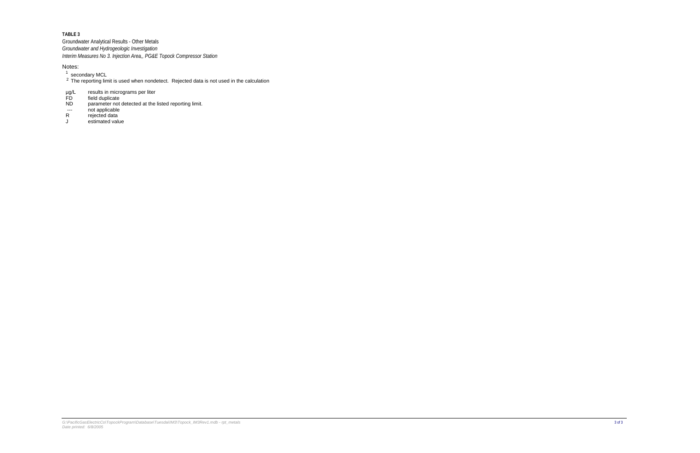Groundwater Analytical Results - Other Metals *Interim Measures No 3. Injection Area,, PG&E Topock Compressor Station Groundwater and Hydrogeologic Investigation*

- $\frac{1}{2}$  secondary MCL<br>  $\frac{2}{3}$  The reporting lin
- The reporting limit is used when nondetect. Rejected data is not used in the calculation
- results in micrograms per liter µg/L
- field duplicate FD
- parameter not detected at the listed reporting limit. ND
- not applicable ---
- rejected data R
- estimated value J

#### Notes: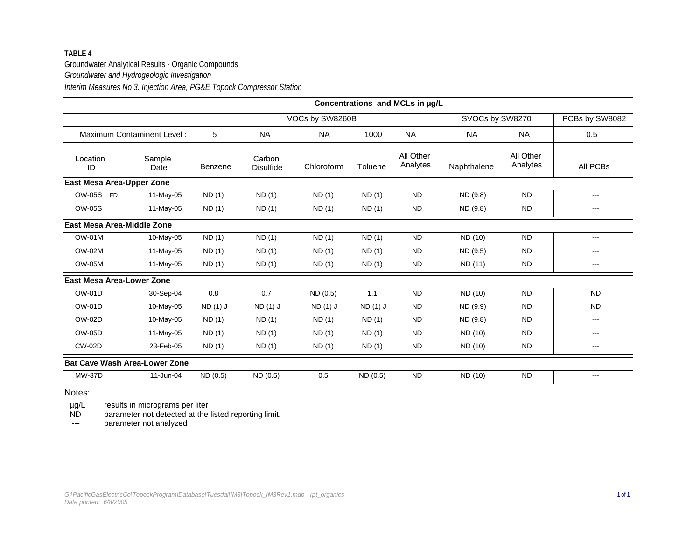### **TABLE 4**Groundwater Analytical Results - Organic Compounds *Interim Measures No 3. Injection Area, PG&E Topock Compressor Station Groundwater and Hydrogeologic Investigation*

|                                  |                                      |          |                            |                 |          | Concentrations and MCLs in µg/L |                 |                       |                |
|----------------------------------|--------------------------------------|----------|----------------------------|-----------------|----------|---------------------------------|-----------------|-----------------------|----------------|
|                                  |                                      |          |                            | VOCs by SW8260B |          |                                 | SVOCs by SW8270 |                       | PCBs by SW8082 |
|                                  | Maximum Contaminent Level:           | 5        | <b>NA</b>                  | <b>NA</b>       | 1000     | <b>NA</b>                       | <b>NA</b>       | <b>NA</b>             | 0.5            |
| Location<br>ID                   | Sample<br>Date                       | Benzene  | Carbon<br><b>Disulfide</b> | Chloroform      | Toluene  | All Other<br>Analytes           | Naphthalene     | All Other<br>Analytes | All PCBs       |
| East Mesa Area-Upper Zone        |                                      |          |                            |                 |          |                                 |                 |                       |                |
| OW-05S FD                        | 11-May-05                            | ND(1)    | ND(1)                      | ND(1)           | ND(1)    | <b>ND</b>                       | ND (9.8)        | <b>ND</b>             | $---$          |
| <b>OW-05S</b>                    | 11-May-05                            | ND(1)    | ND(1)                      | ND(1)           | ND(1)    | <b>ND</b>                       | ND (9.8)        | <b>ND</b>             | ---            |
| East Mesa Area-Middle Zone       |                                      |          |                            |                 |          |                                 |                 |                       |                |
| <b>OW-01M</b>                    | 10-May-05                            | ND(1)    | ND(1)                      | ND(1)           | ND(1)    | <b>ND</b>                       | ND (10)         | <b>ND</b>             | $\cdots$       |
| <b>OW-02M</b>                    | 11-May-05                            | ND(1)    | ND(1)                      | ND(1)           | ND(1)    | <b>ND</b>                       | ND (9.5)        | <b>ND</b>             |                |
| <b>OW-05M</b>                    | 11-May-05                            | ND(1)    | ND(1)                      | ND(1)           | ND(1)    | <b>ND</b>                       | ND (11)         | <b>ND</b>             | ---            |
| <b>East Mesa Area-Lower Zone</b> |                                      |          |                            |                 |          |                                 |                 |                       |                |
| <b>OW-01D</b>                    | 30-Sep-04                            | 0.8      | 0.7                        | ND(0.5)         | 1.1      | <b>ND</b>                       | ND (10)         | <b>ND</b>             | <b>ND</b>      |
| <b>OW-01D</b>                    | 10-May-05                            | ND (1) J | ND (1) J                   | $ND(1)$ J       | ND (1) J | <b>ND</b>                       | ND (9.9)        | <b>ND</b>             | <b>ND</b>      |
| <b>OW-02D</b>                    | 10-May-05                            | ND(1)    | ND(1)                      | ND(1)           | ND(1)    | <b>ND</b>                       | ND (9.8)        | <b>ND</b>             | ---            |
| OW-05D                           | 11-May-05                            | ND(1)    | ND(1)                      | ND(1)           | ND(1)    | <b>ND</b>                       | ND (10)         | <b>ND</b>             | ---            |
| <b>CW-02D</b>                    | 23-Feb-05                            | ND(1)    | ND(1)                      | ND(1)           | ND(1)    | <b>ND</b>                       | ND (10)         | <b>ND</b>             | $\cdots$       |
|                                  | <b>Bat Cave Wash Area-Lower Zone</b> |          |                            |                 |          |                                 |                 |                       |                |
| <b>MW-37D</b>                    | 11-Jun-04                            | ND (0.5) | ND (0.5)                   | 0.5             | ND (0.5) | <b>ND</b>                       | ND (10)         | <b>ND</b>             | ---            |

Notes:

results in micrograms per liter µg/L

parameter not detected at the listed reporting limit. ND

parameter not analyzed ---